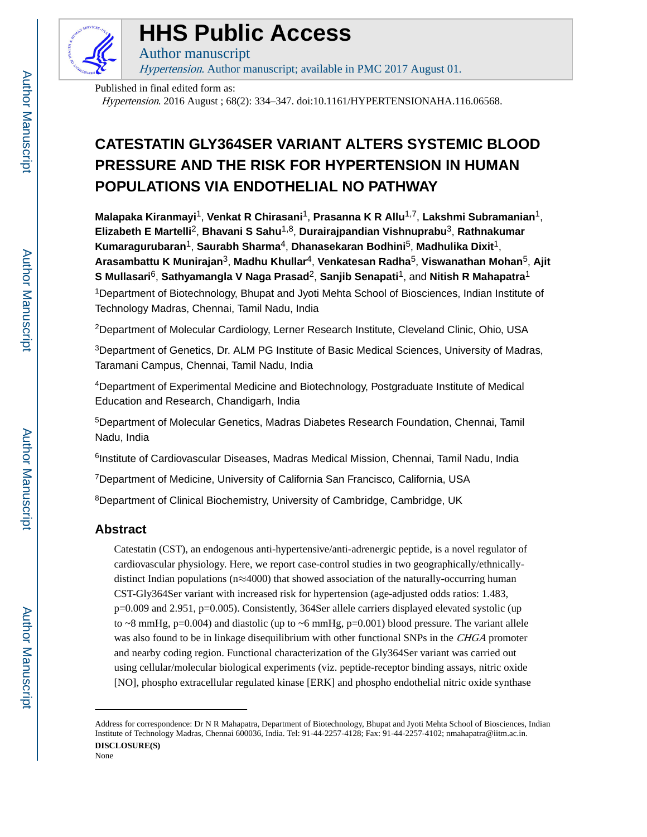

# **HHS Public Access**

Author manuscript Hypertension. Author manuscript; available in PMC 2017 August 01.

Published in final edited form as:

Hypertension. 2016 August ; 68(2): 334–347. doi:10.1161/HYPERTENSIONAHA.116.06568.

## **CATESTATIN GLY364SER VARIANT ALTERS SYSTEMIC BLOOD PRESSURE AND THE RISK FOR HYPERTENSION IN HUMAN POPULATIONS VIA ENDOTHELIAL NO PATHWAY**

**Malapaka Kiranmayi**1, **Venkat R Chirasani**1, **Prasanna K R Allu**1,7, **Lakshmi Subramanian**1, **Elizabeth E Martelli**2, **Bhavani S Sahu**1,8, **Durairajpandian Vishnuprabu**3, **Rathnakumar Kumaragurubaran**1, **Saurabh Sharma**4, **Dhanasekaran Bodhini**5, **Madhulika Dixit**1, **Arasambattu K Munirajan**3, **Madhu Khullar**4, **Venkatesan Radha**5, **Viswanathan Mohan**5, **Ajit S Mullasari**6, **Sathyamangla V Naga Prasad**2, **Sanjib Senapati**1, and **Nitish R Mahapatra**<sup>1</sup> <sup>1</sup>Department of Biotechnology, Bhupat and Jyoti Mehta School of Biosciences, Indian Institute of Technology Madras, Chennai, Tamil Nadu, India

<sup>2</sup>Department of Molecular Cardiology, Lerner Research Institute, Cleveland Clinic, Ohio, USA

<sup>3</sup>Department of Genetics, Dr. ALM PG Institute of Basic Medical Sciences, University of Madras, Taramani Campus, Chennai, Tamil Nadu, India

<sup>4</sup>Department of Experimental Medicine and Biotechnology, Postgraduate Institute of Medical Education and Research, Chandigarh, India

<sup>5</sup>Department of Molecular Genetics, Madras Diabetes Research Foundation, Chennai, Tamil Nadu, India

<sup>6</sup>Institute of Cardiovascular Diseases, Madras Medical Mission, Chennai, Tamil Nadu, India

<sup>7</sup>Department of Medicine, University of California San Francisco, California, USA

<sup>8</sup>Department of Clinical Biochemistry, University of Cambridge, Cambridge, UK

## **Abstract**

Catestatin (CST), an endogenous anti-hypertensive/anti-adrenergic peptide, is a novel regulator of cardiovascular physiology. Here, we report case-control studies in two geographically/ethnicallydistinct Indian populations (n≈4000) that showed association of the naturally-occurring human CST-Gly364Ser variant with increased risk for hypertension (age-adjusted odds ratios: 1.483, p=0.009 and 2.951, p=0.005). Consistently, 364Ser allele carriers displayed elevated systolic (up to  $\sim$ 8 mmHg, p=0.004) and diastolic (up to  $\sim$ 6 mmHg, p=0.001) blood pressure. The variant allele was also found to be in linkage disequilibrium with other functional SNPs in the CHGA promoter and nearby coding region. Functional characterization of the Gly364Ser variant was carried out using cellular/molecular biological experiments (viz. peptide-receptor binding assays, nitric oxide [NO], phospho extracellular regulated kinase [ERK] and phospho endothelial nitric oxide synthase

Address for correspondence: Dr N R Mahapatra, Department of Biotechnology, Bhupat and Jyoti Mehta School of Biosciences, Indian Institute of Technology Madras, Chennai 600036, India. Tel: 91-44-2257-4128; Fax: 91-44-2257-4102; nmahapatra@iitm.ac.in. **DISCLOSURE(S)** None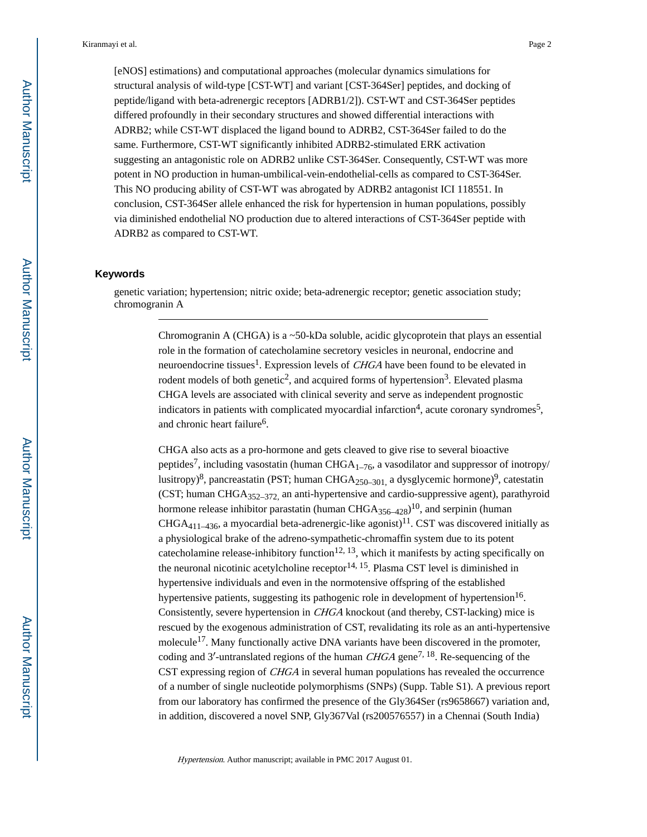[eNOS] estimations) and computational approaches (molecular dynamics simulations for structural analysis of wild-type [CST-WT] and variant [CST-364Ser] peptides, and docking of peptide/ligand with beta-adrenergic receptors [ADRB1/2]). CST-WT and CST-364Ser peptides differed profoundly in their secondary structures and showed differential interactions with ADRB2; while CST-WT displaced the ligand bound to ADRB2, CST-364Ser failed to do the same. Furthermore, CST-WT significantly inhibited ADRB2-stimulated ERK activation suggesting an antagonistic role on ADRB2 unlike CST-364Ser. Consequently, CST-WT was more potent in NO production in human-umbilical-vein-endothelial-cells as compared to CST-364Ser. This NO producing ability of CST-WT was abrogated by ADRB2 antagonist ICI 118551. In conclusion, CST-364Ser allele enhanced the risk for hypertension in human populations, possibly via diminished endothelial NO production due to altered interactions of CST-364Ser peptide with ADRB2 as compared to CST-WT.

#### **Keywords**

genetic variation; hypertension; nitric oxide; beta-adrenergic receptor; genetic association study; chromogranin A

> Chromogranin A (CHGA) is a ~50-kDa soluble, acidic glycoprotein that plays an essential role in the formation of catecholamine secretory vesicles in neuronal, endocrine and neuroendocrine tissues<sup>1</sup>. Expression levels of *CHGA* have been found to be elevated in rodent models of both genetic<sup>2</sup>, and acquired forms of hypertension<sup>3</sup>. Elevated plasma CHGA levels are associated with clinical severity and serve as independent prognostic indicators in patients with complicated myocardial infarction<sup>4</sup>, acute coronary syndromes<sup>5</sup>, and chronic heart failure<sup>6</sup>.

CHGA also acts as a pro-hormone and gets cleaved to give rise to several bioactive peptides<sup>7</sup>, including vasostatin (human CHGA<sub>1–76</sub>, a vasodilator and suppressor of inotropy/ lusitropy)<sup>8</sup>, pancreastatin (PST; human CHGA<sub>250–301,</sub> a dysglycemic hormone)<sup>9</sup>, catestatin (CST; human CHGA352–372, an anti-hypertensive and cardio-suppressive agent), parathyroid hormone release inhibitor parastatin (human  $CHGA_{356-428})^{10}$ , and serpinin (human  $CHGA<sub>411–436</sub>$ , a myocardial beta-adrenergic-like agonist)<sup>11</sup>. CST was discovered initially as a physiological brake of the adreno-sympathetic-chromaffin system due to its potent cate cholamine release-inhibitory function<sup>12, 13</sup>, which it manifests by acting specifically on the neuronal nicotinic acetylcholine receptor<sup>14, 15</sup>. Plasma CST level is diminished in hypertensive individuals and even in the normotensive offspring of the established hypertensive patients, suggesting its pathogenic role in development of hypertension<sup>16</sup>. Consistently, severe hypertension in CHGA knockout (and thereby, CST-lacking) mice is rescued by the exogenous administration of CST, revalidating its role as an anti-hypertensive molecule<sup>17</sup>. Many functionally active DNA variants have been discovered in the promoter, coding and 3'-untranslated regions of the human  $CHGA$  gene<sup>7, 18</sup>. Re-sequencing of the CST expressing region of CHGA in several human populations has revealed the occurrence of a number of single nucleotide polymorphisms (SNPs) (Supp. Table S1). A previous report from our laboratory has confirmed the presence of the Gly364Ser (rs9658667) variation and, in addition, discovered a novel SNP, Gly367Val (rs200576557) in a Chennai (South India)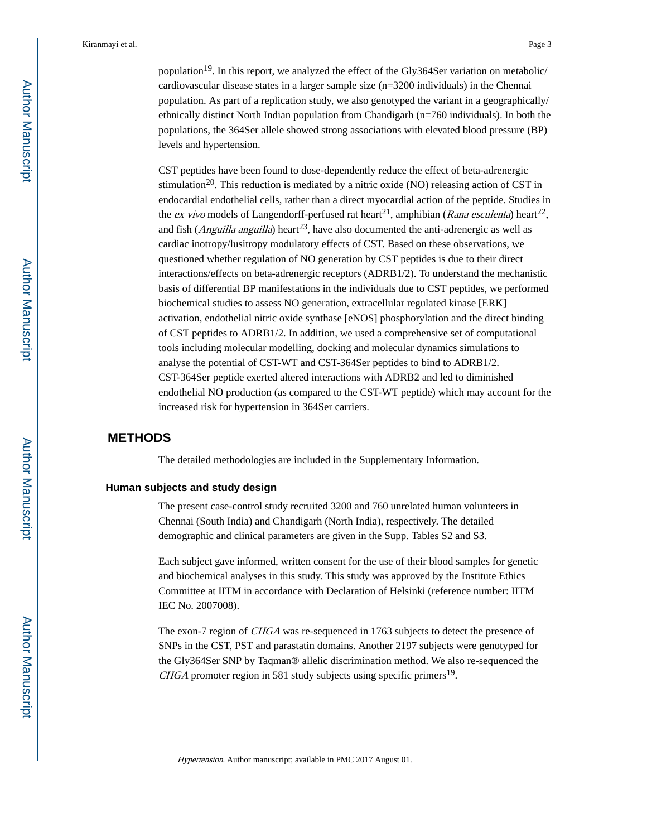population<sup>19</sup>. In this report, we analyzed the effect of the Gly364Ser variation on metabolic/ cardiovascular disease states in a larger sample size (n=3200 individuals) in the Chennai population. As part of a replication study, we also genotyped the variant in a geographically/ ethnically distinct North Indian population from Chandigarh (n=760 individuals). In both the populations, the 364Ser allele showed strong associations with elevated blood pressure (BP) levels and hypertension.

CST peptides have been found to dose-dependently reduce the effect of beta-adrenergic stimulation<sup>20</sup>. This reduction is mediated by a nitric oxide (NO) releasing action of CST in endocardial endothelial cells, rather than a direct myocardial action of the peptide. Studies in the *ex vivo* models of Langendorff-perfused rat heart<sup>21</sup>, amphibian (*Rana esculenta*) heart<sup>22</sup>, and fish (Anguilla anguilla) heart<sup>23</sup>, have also documented the anti-adrenergic as well as cardiac inotropy/lusitropy modulatory effects of CST. Based on these observations, we questioned whether regulation of NO generation by CST peptides is due to their direct interactions/effects on beta-adrenergic receptors (ADRB1/2). To understand the mechanistic basis of differential BP manifestations in the individuals due to CST peptides, we performed biochemical studies to assess NO generation, extracellular regulated kinase [ERK] activation, endothelial nitric oxide synthase [eNOS] phosphorylation and the direct binding of CST peptides to ADRB1/2. In addition, we used a comprehensive set of computational tools including molecular modelling, docking and molecular dynamics simulations to analyse the potential of CST-WT and CST-364Ser peptides to bind to ADRB1/2. CST-364Ser peptide exerted altered interactions with ADRB2 and led to diminished endothelial NO production (as compared to the CST-WT peptide) which may account for the increased risk for hypertension in 364Ser carriers.

## **METHODS**

The detailed methodologies are included in the Supplementary Information.

#### **Human subjects and study design**

The present case-control study recruited 3200 and 760 unrelated human volunteers in Chennai (South India) and Chandigarh (North India), respectively. The detailed demographic and clinical parameters are given in the Supp. Tables S2 and S3.

Each subject gave informed, written consent for the use of their blood samples for genetic and biochemical analyses in this study. This study was approved by the Institute Ethics Committee at IITM in accordance with Declaration of Helsinki (reference number: IITM IEC No. 2007008).

The exon-7 region of CHGA was re-sequenced in 1763 subjects to detect the presence of SNPs in the CST, PST and parastatin domains. Another 2197 subjects were genotyped for the Gly364Ser SNP by Taqman® allelic discrimination method. We also re-sequenced the CHGA promoter region in 581 study subjects using specific primers $19$ .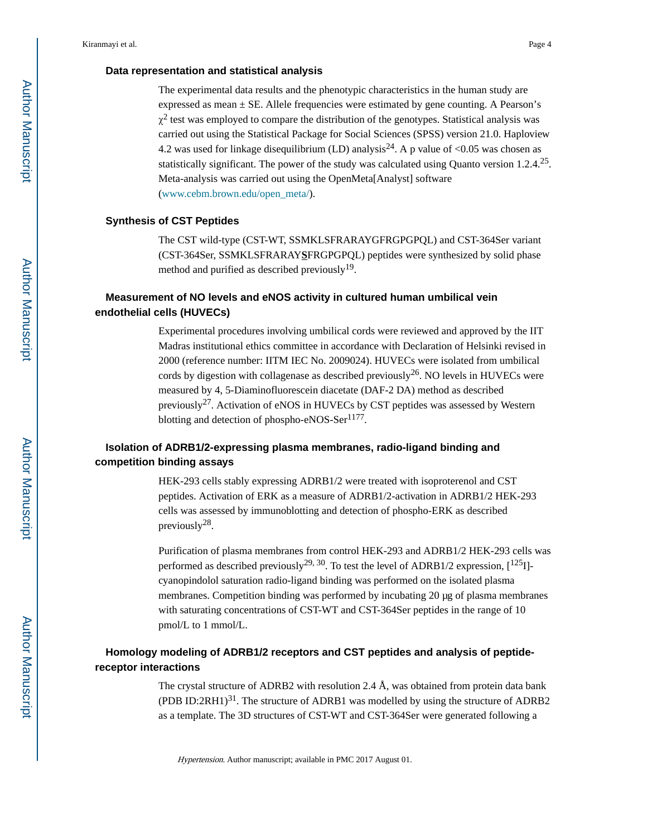#### **Data representation and statistical analysis**

The experimental data results and the phenotypic characteristics in the human study are expressed as mean ± SE. Allele frequencies were estimated by gene counting. A Pearson's  $\chi^2$  test was employed to compare the distribution of the genotypes. Statistical analysis was carried out using the Statistical Package for Social Sciences (SPSS) version 21.0. Haploview 4.2 was used for linkage disequilibrium (LD) analysis<sup>24</sup>. A p value of <0.05 was chosen as statistically significant. The power of the study was calculated using Quanto version 1.2.4.<sup>25</sup>. Meta-analysis was carried out using the OpenMeta[Analyst] software (www.cebm.brown.edu/open\_meta/).

#### **Synthesis of CST Peptides**

The CST wild-type (CST-WT, SSMKLSFRARAYGFRGPGPQL) and CST-364Ser variant (CST-364Ser, SSMKLSFRARAY**S**FRGPGPQL) peptides were synthesized by solid phase method and purified as described previously<sup>19</sup>.

## **Measurement of NO levels and eNOS activity in cultured human umbilical vein endothelial cells (HUVECs)**

Experimental procedures involving umbilical cords were reviewed and approved by the IIT Madras institutional ethics committee in accordance with Declaration of Helsinki revised in 2000 (reference number: IITM IEC No. 2009024). HUVECs were isolated from umbilical cords by digestion with collagenase as described previously<sup>26</sup>. NO levels in HUVECs were measured by 4, 5-Diaminofluorescein diacetate (DAF-2 DA) method as described previously<sup>27</sup>. Activation of eNOS in HUVECs by CST peptides was assessed by Western blotting and detection of phospho-eNOS-Ser<sup>1177</sup>.

## **Isolation of ADRB1/2-expressing plasma membranes, radio-ligand binding and competition binding assays**

HEK-293 cells stably expressing ADRB1/2 were treated with isoproterenol and CST peptides. Activation of ERK as a measure of ADRB1/2-activation in ADRB1/2 HEK-293 cells was assessed by immunoblotting and detection of phospho-ERK as described previously<sup>28</sup>.

Purification of plasma membranes from control HEK-293 and ADRB1/2 HEK-293 cells was performed as described previously<sup>29, 30</sup>. To test the level of ADRB1/2 expression,  $\lceil 1^{25} \rceil$ cyanopindolol saturation radio-ligand binding was performed on the isolated plasma membranes. Competition binding was performed by incubating 20 μg of plasma membranes with saturating concentrations of CST-WT and CST-364Ser peptides in the range of 10 pmol/L to 1 mmol/L.

## **Homology modeling of ADRB1/2 receptors and CST peptides and analysis of peptidereceptor interactions**

The crystal structure of ADRB2 with resolution 2.4 Å, was obtained from protein data bank (PDB ID:2RH1) $31$ . The structure of ADRB1 was modelled by using the structure of ADRB2 as a template. The 3D structures of CST-WT and CST-364Ser were generated following a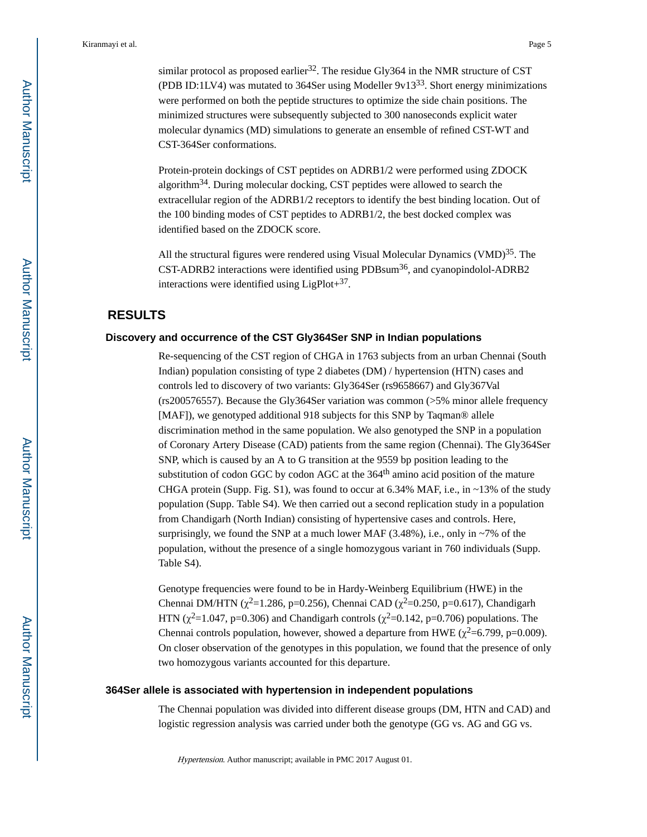similar protocol as proposed earlier<sup>32</sup>. The residue Gly364 in the NMR structure of CST (PDB ID:1LV4) was mutated to 364Ser using Modeller  $9v13^{33}$ . Short energy minimizations were performed on both the peptide structures to optimize the side chain positions. The minimized structures were subsequently subjected to 300 nanoseconds explicit water molecular dynamics (MD) simulations to generate an ensemble of refined CST-WT and CST-364Ser conformations.

Protein-protein dockings of CST peptides on ADRB1/2 were performed using ZDOCK algorithm34. During molecular docking, CST peptides were allowed to search the extracellular region of the ADRB1/2 receptors to identify the best binding location. Out of the 100 binding modes of CST peptides to ADRB1/2, the best docked complex was identified based on the ZDOCK score.

All the structural figures were rendered using Visual Molecular Dynamics (VMD) $^{35}$ . The CST-ADRB2 interactions were identified using PDBsum36, and cyanopindolol-ADRB2 interactions were identified using  $LigPlot+^{37}$ .

## **RESULTS**

#### **Discovery and occurrence of the CST Gly364Ser SNP in Indian populations**

Re-sequencing of the CST region of CHGA in 1763 subjects from an urban Chennai (South Indian) population consisting of type 2 diabetes (DM) / hypertension (HTN) cases and controls led to discovery of two variants: Gly364Ser (rs9658667) and Gly367Val (rs200576557). Because the Gly364Ser variation was common (>5% minor allele frequency [MAF]), we genotyped additional 918 subjects for this SNP by Taqman® allele discrimination method in the same population. We also genotyped the SNP in a population of Coronary Artery Disease (CAD) patients from the same region (Chennai). The Gly364Ser SNP, which is caused by an A to G transition at the 9559 bp position leading to the substitution of codon GGC by codon AGC at the 364<sup>th</sup> amino acid position of the mature CHGA protein (Supp. Fig. S1), was found to occur at 6.34% MAF, i.e., in  $\sim$ 13% of the study population (Supp. Table S4). We then carried out a second replication study in a population from Chandigarh (North Indian) consisting of hypertensive cases and controls. Here, surprisingly, we found the SNP at a much lower MAF  $(3.48\%)$ , i.e., only in ~7% of the population, without the presence of a single homozygous variant in 760 individuals (Supp. Table S4).

Genotype frequencies were found to be in Hardy-Weinberg Equilibrium (HWE) in the Chennai DM/HTN ( $\chi^2$ =1.286, p=0.256), Chennai CAD ( $\chi^2$ =0.250, p=0.617), Chandigarh HTN ( $\chi^2$ =1.047, p=0.306) and Chandigarh controls ( $\chi^2$ =0.142, p=0.706) populations. The Chennai controls population, however, showed a departure from HWE ( $\chi^2$ =6.799, p=0.009). On closer observation of the genotypes in this population, we found that the presence of only two homozygous variants accounted for this departure.

#### **364Ser allele is associated with hypertension in independent populations**

The Chennai population was divided into different disease groups (DM, HTN and CAD) and logistic regression analysis was carried under both the genotype (GG vs. AG and GG vs.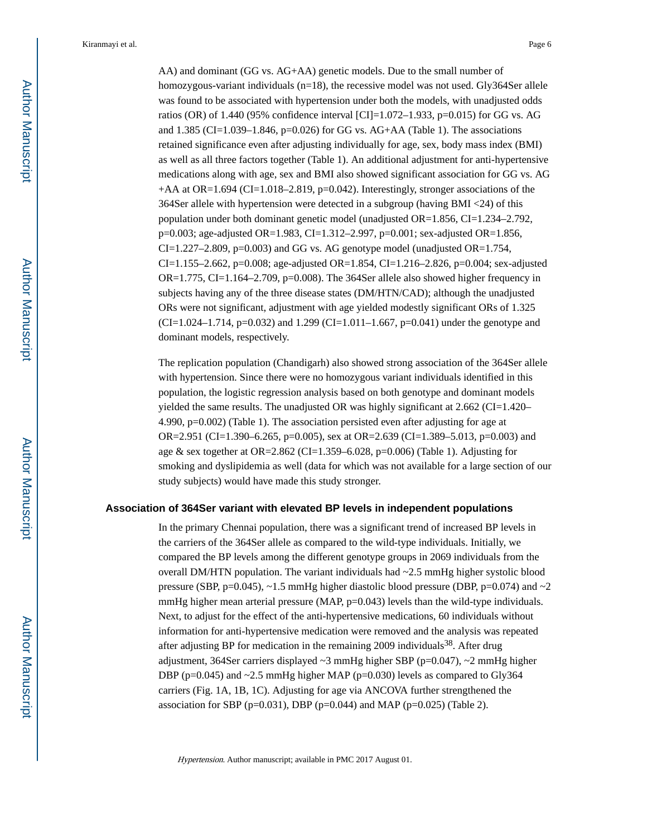AA) and dominant (GG vs. AG+AA) genetic models. Due to the small number of homozygous-variant individuals (n=18), the recessive model was not used. Gly364Ser allele was found to be associated with hypertension under both the models, with unadjusted odds ratios (OR) of 1.440 (95% confidence interval [CI]=1.072–1.933, p=0.015) for GG vs. AG and  $1.385$  (CI=1.039–1.846, p=0.026) for GG vs. AG+AA (Table 1). The associations retained significance even after adjusting individually for age, sex, body mass index (BMI) as well as all three factors together (Table 1). An additional adjustment for anti-hypertensive medications along with age, sex and BMI also showed significant association for GG vs. AG  $+A$ A at OR=1.694 (CI=1.018–2.819, p=0.042). Interestingly, stronger associations of the 364Ser allele with hypertension were detected in a subgroup (having BMI <24) of this population under both dominant genetic model (unadjusted OR=1.856, CI=1.234–2.792, p=0.003; age-adjusted OR=1.983, CI=1.312–2.997, p=0.001; sex-adjusted OR=1.856,  $CI=1.227-2.809$ ,  $p=0.003$ ) and GG vs. AG genotype model (unadjusted OR=1.754, CI=1.155–2.662, p=0.008; age-adjusted OR=1.854, CI=1.216–2.826, p=0.004; sex-adjusted  $OR=1.775$ ,  $CI=1.164-2.709$ ,  $p=0.008$ ). The 364Ser allele also showed higher frequency in subjects having any of the three disease states (DM/HTN/CAD); although the unadjusted ORs were not significant, adjustment with age yielded modestly significant ORs of 1.325  $(CI=1.024-1.714, p=0.032)$  and 1.299  $(CI=1.011-1.667, p=0.041)$  under the genotype and dominant models, respectively.

The replication population (Chandigarh) also showed strong association of the 364Ser allele with hypertension. Since there were no homozygous variant individuals identified in this population, the logistic regression analysis based on both genotype and dominant models yielded the same results. The unadjusted OR was highly significant at 2.662 (CI=1.420– 4.990, p=0.002) (Table 1). The association persisted even after adjusting for age at OR=2.951 (CI=1.390–6.265, p=0.005), sex at OR=2.639 (CI=1.389–5.013, p=0.003) and age & sex together at OR=2.862 (CI=1.359–6.028, p=0.006) (Table 1). Adjusting for smoking and dyslipidemia as well (data for which was not available for a large section of our study subjects) would have made this study stronger.

#### **Association of 364Ser variant with elevated BP levels in independent populations**

In the primary Chennai population, there was a significant trend of increased BP levels in the carriers of the 364Ser allele as compared to the wild-type individuals. Initially, we compared the BP levels among the different genotype groups in 2069 individuals from the overall DM/HTN population. The variant individuals had  $\sim$ 2.5 mmHg higher systolic blood pressure (SBP, p=0.045), ~1.5 mmHg higher diastolic blood pressure (DBP, p=0.074) and ~2 mmHg higher mean arterial pressure (MAP, p=0.043) levels than the wild-type individuals. Next, to adjust for the effect of the anti-hypertensive medications, 60 individuals without information for anti-hypertensive medication were removed and the analysis was repeated after adjusting BP for medication in the remaining 2009 individuals<sup>38</sup>. After drug adjustment, 364Ser carriers displayed  $\sim$ 3 mmHg higher SBP (p=0.047),  $\sim$ 2 mmHg higher DBP ( $p=0.045$ ) and  $\sim$ 2.5 mmHg higher MAP ( $p=0.030$ ) levels as compared to Gly364 carriers (Fig. 1A, 1B, 1C). Adjusting for age via ANCOVA further strengthened the association for SBP ( $p=0.031$ ), DBP ( $p=0.044$ ) and MAP ( $p=0.025$ ) (Table 2).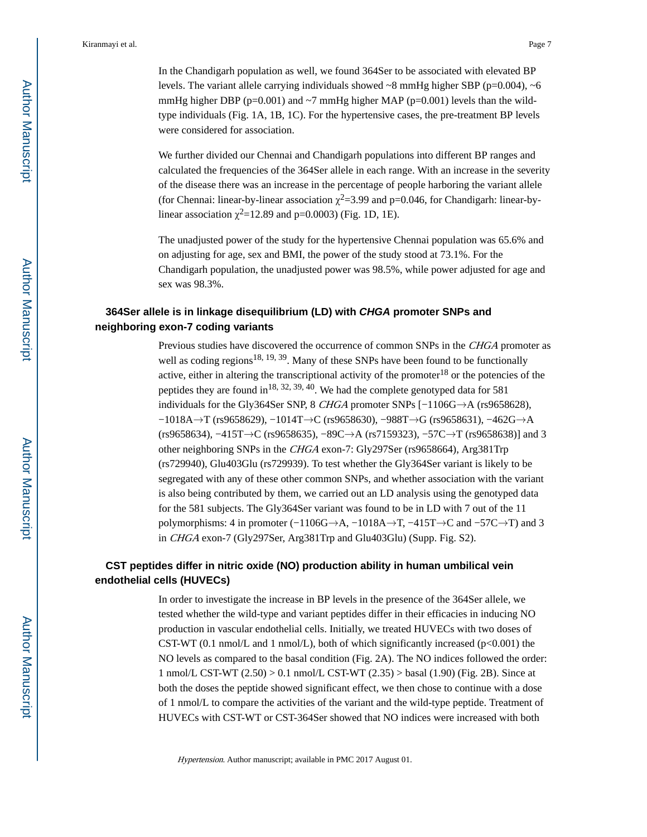In the Chandigarh population as well, we found 364Ser to be associated with elevated BP levels. The variant allele carrying individuals showed  $\sim$ 8 mmHg higher SBP (p=0.004),  $\sim$ 6 mmHg higher DBP ( $p=0.001$ ) and  $\sim$ 7 mmHg higher MAP ( $p=0.001$ ) levels than the wildtype individuals (Fig. 1A, 1B, 1C). For the hypertensive cases, the pre-treatment BP levels were considered for association.

We further divided our Chennai and Chandigarh populations into different BP ranges and calculated the frequencies of the 364Ser allele in each range. With an increase in the severity of the disease there was an increase in the percentage of people harboring the variant allele (for Chennai: linear-by-linear association  $\chi^2$ =3.99 and p=0.046, for Chandigarh: linear-bylinear association  $\chi^2$ =12.89 and p=0.0003) (Fig. 1D, 1E).

The unadjusted power of the study for the hypertensive Chennai population was 65.6% and on adjusting for age, sex and BMI, the power of the study stood at 73.1%. For the Chandigarh population, the unadjusted power was 98.5%, while power adjusted for age and sex was 98.3%.

## **364Ser allele is in linkage disequilibrium (LD) with CHGA promoter SNPs and neighboring exon-7 coding variants**

Previous studies have discovered the occurrence of common SNPs in the CHGA promoter as well as coding regions<sup>18, 19, 39</sup>. Many of these SNPs have been found to be functionally active, either in altering the transcriptional activity of the promoter<sup>18</sup> or the potencies of the peptides they are found in <sup>18, 32, 39, 40</sup>. We had the complete genotyped data for 581 individuals for the Gly364Ser SNP, 8 CHGA promoter SNPs  $[-1106G \rightarrow A$  (rs9658628), −1018A→T (rs9658629), −1014T→C (rs9658630), −988T→G (rs9658631), −462G→A (rs9658634), −415T→C (rs9658635), −89C→A (rs7159323), −57C→T (rs9658638)] and 3 other neighboring SNPs in the CHGA exon-7: Gly297Ser (rs9658664), Arg381Trp (rs729940), Glu403Glu (rs729939). To test whether the Gly364Ser variant is likely to be segregated with any of these other common SNPs, and whether association with the variant is also being contributed by them, we carried out an LD analysis using the genotyped data for the 581 subjects. The Gly364Ser variant was found to be in LD with 7 out of the 11 polymorphisms: 4 in promoter (−1106G→A, −1018A→T, −415T→C and −57C→T) and 3 in CHGA exon-7 (Gly297Ser, Arg381Trp and Glu403Glu) (Supp. Fig. S2).

## **CST peptides differ in nitric oxide (NO) production ability in human umbilical vein endothelial cells (HUVECs)**

In order to investigate the increase in BP levels in the presence of the 364Ser allele, we tested whether the wild-type and variant peptides differ in their efficacies in inducing NO production in vascular endothelial cells. Initially, we treated HUVECs with two doses of CST-WT (0.1 nmol/L and 1 nmol/L), both of which significantly increased ( $p<0.001$ ) the NO levels as compared to the basal condition (Fig. 2A). The NO indices followed the order: 1 nmol/L CST-WT (2.50) > 0.1 nmol/L CST-WT (2.35) > basal (1.90) (Fig. 2B). Since at both the doses the peptide showed significant effect, we then chose to continue with a dose of 1 nmol/L to compare the activities of the variant and the wild-type peptide. Treatment of HUVECs with CST-WT or CST-364Ser showed that NO indices were increased with both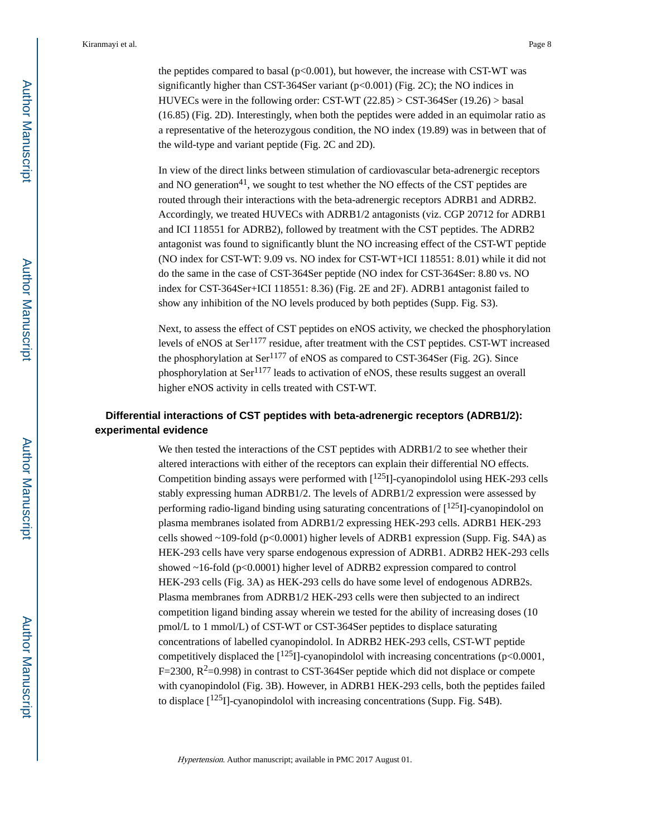the peptides compared to basal ( $p<0.001$ ), but however, the increase with CST-WT was significantly higher than CST-364Ser variant (p<0.001) (Fig. 2C); the NO indices in HUVECs were in the following order: CST-WT  $(22.85) >$  CST-364Ser  $(19.26) >$  basal (16.85) (Fig. 2D). Interestingly, when both the peptides were added in an equimolar ratio as a representative of the heterozygous condition, the NO index (19.89) was in between that of the wild-type and variant peptide (Fig. 2C and 2D).

In view of the direct links between stimulation of cardiovascular beta-adrenergic receptors and NO generation<sup>41</sup>, we sought to test whether the NO effects of the CST peptides are routed through their interactions with the beta-adrenergic receptors ADRB1 and ADRB2. Accordingly, we treated HUVECs with ADRB1/2 antagonists (viz. CGP 20712 for ADRB1 and ICI 118551 for ADRB2), followed by treatment with the CST peptides. The ADRB2 antagonist was found to significantly blunt the NO increasing effect of the CST-WT peptide (NO index for CST-WT: 9.09 vs. NO index for CST-WT+ICI 118551: 8.01) while it did not do the same in the case of CST-364Ser peptide (NO index for CST-364Ser: 8.80 vs. NO index for CST-364Ser+ICI 118551: 8.36) (Fig. 2E and 2F). ADRB1 antagonist failed to show any inhibition of the NO levels produced by both peptides (Supp. Fig. S3).

Next, to assess the effect of CST peptides on eNOS activity, we checked the phosphorylation levels of eNOS at Ser<sup>1177</sup> residue, after treatment with the CST peptides. CST-WT increased the phosphorylation at  $\text{Ser}^{1177}$  of eNOS as compared to CST-364Ser (Fig. 2G). Since phosphorylation at Ser1177 leads to activation of eNOS, these results suggest an overall higher eNOS activity in cells treated with CST-WT.

## **Differential interactions of CST peptides with beta-adrenergic receptors (ADRB1/2): experimental evidence**

We then tested the interactions of the CST peptides with ADRB1/2 to see whether their altered interactions with either of the receptors can explain their differential NO effects. Competition binding assays were performed with  $\lceil 125 \rceil$ -cyanopindolol using HEK-293 cells stably expressing human ADRB1/2. The levels of ADRB1/2 expression were assessed by performing radio-ligand binding using saturating concentrations of  $[1^{25}I]$ -cyanopindolol on plasma membranes isolated from ADRB1/2 expressing HEK-293 cells. ADRB1 HEK-293 cells showed  $\sim$ 109-fold (p<0.0001) higher levels of ADRB1 expression (Supp. Fig. S4A) as HEK-293 cells have very sparse endogenous expression of ADRB1. ADRB2 HEK-293 cells showed ~16-fold (p<0.0001) higher level of ADRB2 expression compared to control HEK-293 cells (Fig. 3A) as HEK-293 cells do have some level of endogenous ADRB2s. Plasma membranes from ADRB1/2 HEK-293 cells were then subjected to an indirect competition ligand binding assay wherein we tested for the ability of increasing doses (10 pmol/L to 1 mmol/L) of CST-WT or CST-364Ser peptides to displace saturating concentrations of labelled cyanopindolol. In ADRB2 HEK-293 cells, CST-WT peptide competitively displaced the  $[125]$ -cyanopindolol with increasing concentrations (p<0.0001,  $F=2300$ ,  $R^2=0.998$ ) in contrast to CST-364Ser peptide which did not displace or compete with cyanopindolol (Fig. 3B). However, in ADRB1 HEK-293 cells, both the peptides failed to displace  $[125]$ -cyanopindolol with increasing concentrations (Supp. Fig. S4B).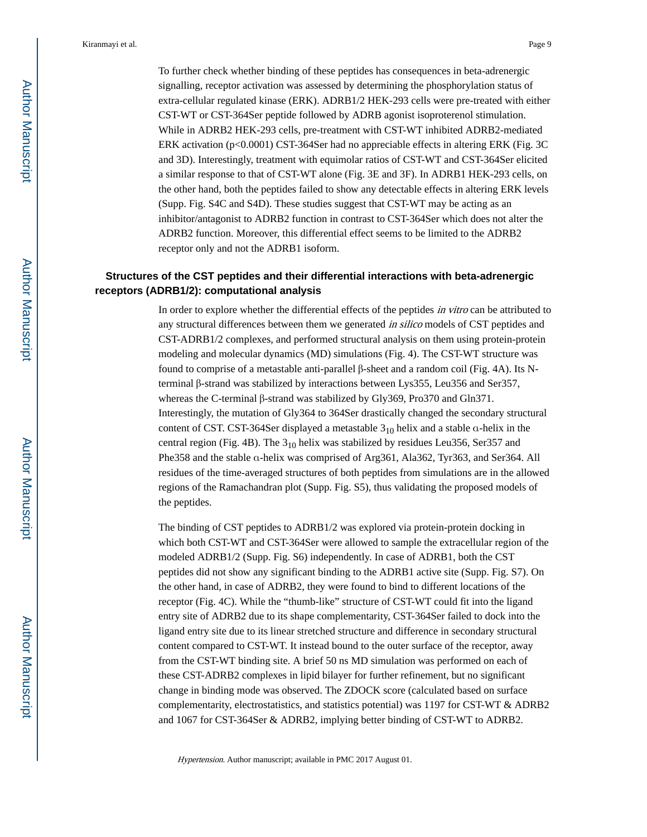To further check whether binding of these peptides has consequences in beta-adrenergic signalling, receptor activation was assessed by determining the phosphorylation status of extra-cellular regulated kinase (ERK). ADRB1/2 HEK-293 cells were pre-treated with either CST-WT or CST-364Ser peptide followed by ADRB agonist isoproterenol stimulation. While in ADRB2 HEK-293 cells, pre-treatment with CST-WT inhibited ADRB2-mediated ERK activation (p<0.0001) CST-364Ser had no appreciable effects in altering ERK (Fig. 3C and 3D). Interestingly, treatment with equimolar ratios of CST-WT and CST-364Ser elicited a similar response to that of CST-WT alone (Fig. 3E and 3F). In ADRB1 HEK-293 cells, on the other hand, both the peptides failed to show any detectable effects in altering ERK levels (Supp. Fig. S4C and S4D). These studies suggest that CST-WT may be acting as an inhibitor/antagonist to ADRB2 function in contrast to CST-364Ser which does not alter the ADRB2 function. Moreover, this differential effect seems to be limited to the ADRB2 receptor only and not the ADRB1 isoform.

## **Structures of the CST peptides and their differential interactions with beta-adrenergic receptors (ADRB1/2): computational analysis**

In order to explore whether the differential effects of the peptides *in vitro* can be attributed to any structural differences between them we generated in silico models of CST peptides and CST-ADRB1/2 complexes, and performed structural analysis on them using protein-protein modeling and molecular dynamics (MD) simulations (Fig. 4). The CST-WT structure was found to comprise of a metastable anti-parallel β-sheet and a random coil (Fig. 4A). Its Nterminal β-strand was stabilized by interactions between Lys355, Leu356 and Ser357, whereas the C-terminal β-strand was stabilized by Gly369, Pro370 and Gln371. Interestingly, the mutation of Gly364 to 364Ser drastically changed the secondary structural content of CST. CST-364Ser displayed a metastable  $3_{10}$  helix and a stable  $\alpha$ -helix in the central region (Fig. 4B). The  $3_{10}$  helix was stabilized by residues Leu356, Ser357 and Phe358 and the stable α-helix was comprised of Arg361, Ala362, Tyr363, and Ser364. All residues of the time-averaged structures of both peptides from simulations are in the allowed regions of the Ramachandran plot (Supp. Fig. S5), thus validating the proposed models of the peptides.

The binding of CST peptides to ADRB1/2 was explored via protein-protein docking in which both CST-WT and CST-364Ser were allowed to sample the extracellular region of the modeled ADRB1/2 (Supp. Fig. S6) independently. In case of ADRB1, both the CST peptides did not show any significant binding to the ADRB1 active site (Supp. Fig. S7). On the other hand, in case of ADRB2, they were found to bind to different locations of the receptor (Fig. 4C). While the "thumb-like" structure of CST-WT could fit into the ligand entry site of ADRB2 due to its shape complementarity, CST-364Ser failed to dock into the ligand entry site due to its linear stretched structure and difference in secondary structural content compared to CST-WT. It instead bound to the outer surface of the receptor, away from the CST-WT binding site. A brief 50 ns MD simulation was performed on each of these CST-ADRB2 complexes in lipid bilayer for further refinement, but no significant change in binding mode was observed. The ZDOCK score (calculated based on surface complementarity, electrostatistics, and statistics potential) was 1197 for CST-WT & ADRB2 and 1067 for CST-364Ser & ADRB2, implying better binding of CST-WT to ADRB2.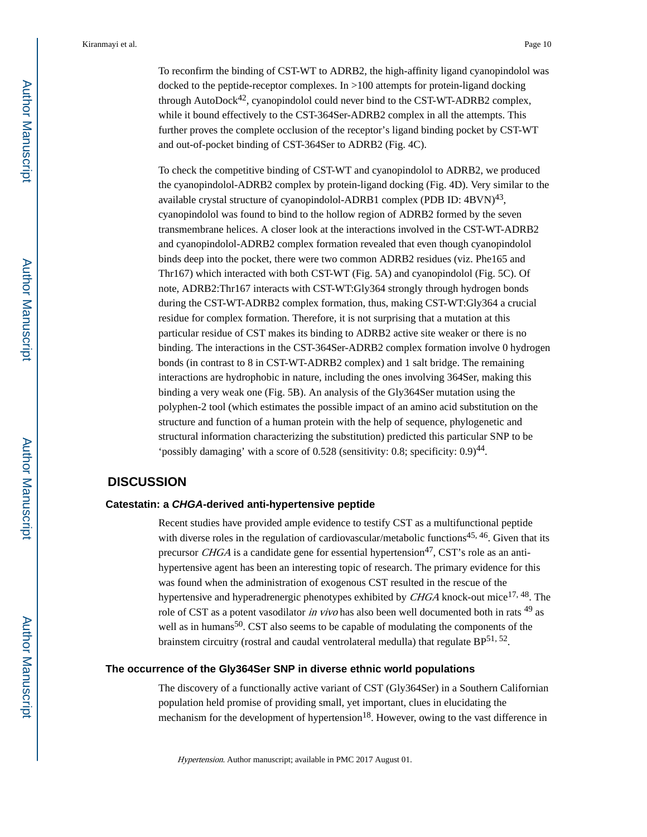To reconfirm the binding of CST-WT to ADRB2, the high-affinity ligand cyanopindolol was docked to the peptide-receptor complexes. In >100 attempts for protein-ligand docking through AutoDock42, cyanopindolol could never bind to the CST-WT-ADRB2 complex, while it bound effectively to the CST-364Ser-ADRB2 complex in all the attempts. This further proves the complete occlusion of the receptor's ligand binding pocket by CST-WT and out-of-pocket binding of CST-364Ser to ADRB2 (Fig. 4C).

To check the competitive binding of CST-WT and cyanopindolol to ADRB2, we produced the cyanopindolol-ADRB2 complex by protein-ligand docking (Fig. 4D). Very similar to the available crystal structure of cyanopindolol-ADRB1 complex (PDB ID:  $4\text{BVN}^{43}$ , cyanopindolol was found to bind to the hollow region of ADRB2 formed by the seven transmembrane helices. A closer look at the interactions involved in the CST-WT-ADRB2 and cyanopindolol-ADRB2 complex formation revealed that even though cyanopindolol binds deep into the pocket, there were two common ADRB2 residues (viz. Phe165 and Thr167) which interacted with both CST-WT (Fig. 5A) and cyanopindolol (Fig. 5C). Of note, ADRB2:Thr167 interacts with CST-WT:Gly364 strongly through hydrogen bonds during the CST-WT-ADRB2 complex formation, thus, making CST-WT:Gly364 a crucial residue for complex formation. Therefore, it is not surprising that a mutation at this particular residue of CST makes its binding to ADRB2 active site weaker or there is no binding. The interactions in the CST-364Ser-ADRB2 complex formation involve 0 hydrogen bonds (in contrast to 8 in CST-WT-ADRB2 complex) and 1 salt bridge. The remaining interactions are hydrophobic in nature, including the ones involving 364Ser, making this binding a very weak one (Fig. 5B). An analysis of the Gly364Ser mutation using the polyphen-2 tool (which estimates the possible impact of an amino acid substitution on the structure and function of a human protein with the help of sequence, phylogenetic and structural information characterizing the substitution) predicted this particular SNP to be 'possibly damaging' with a score of  $0.528$  (sensitivity: 0.8; specificity:  $0.9)$ <sup>44</sup>.

## **DISCUSSION**

#### **Catestatin: a CHGA-derived anti-hypertensive peptide**

Recent studies have provided ample evidence to testify CST as a multifunctional peptide with diverse roles in the regulation of cardiovascular/metabolic functions<sup>45, 46</sup>. Given that its precursor CHGA is a candidate gene for essential hypertension<sup>47</sup>, CST's role as an antihypertensive agent has been an interesting topic of research. The primary evidence for this was found when the administration of exogenous CST resulted in the rescue of the hypertensive and hyperadrenergic phenotypes exhibited by  $CHGA$  knock-out mice<sup>17, 48</sup>. The role of CST as a potent vasodilator in vivo has also been well documented both in rats <sup>49</sup> as well as in humans<sup>50</sup>. CST also seems to be capable of modulating the components of the brainstem circuitry (rostral and caudal ventrolateral medulla) that regulate  $BP^{51, 52}$ .

#### **The occurrence of the Gly364Ser SNP in diverse ethnic world populations**

The discovery of a functionally active variant of CST (Gly364Ser) in a Southern Californian population held promise of providing small, yet important, clues in elucidating the mechanism for the development of hypertension<sup>18</sup>. However, owing to the vast difference in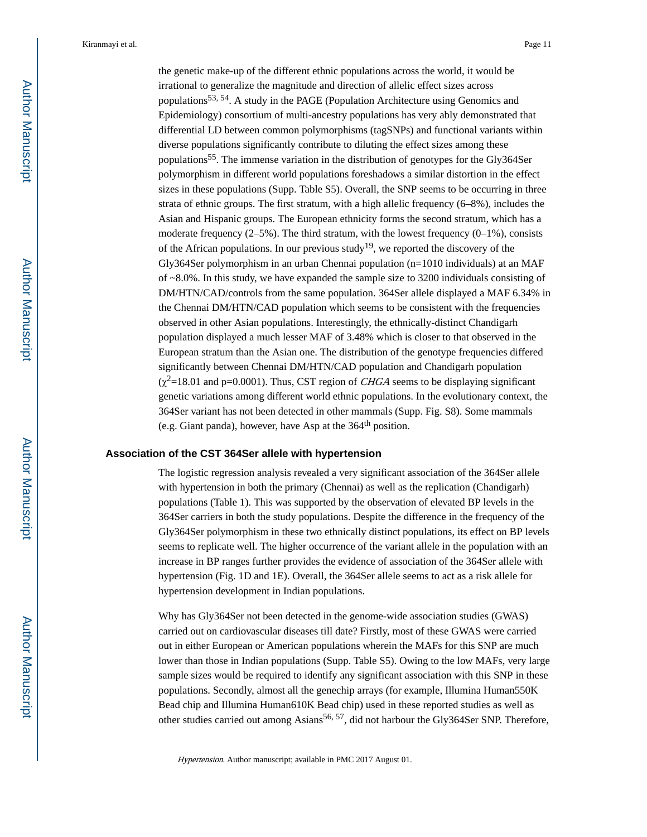the genetic make-up of the different ethnic populations across the world, it would be irrational to generalize the magnitude and direction of allelic effect sizes across populations53, 54. A study in the PAGE (Population Architecture using Genomics and Epidemiology) consortium of multi-ancestry populations has very ably demonstrated that differential LD between common polymorphisms (tagSNPs) and functional variants within diverse populations significantly contribute to diluting the effect sizes among these populations55. The immense variation in the distribution of genotypes for the Gly364Ser polymorphism in different world populations foreshadows a similar distortion in the effect sizes in these populations (Supp. Table S5). Overall, the SNP seems to be occurring in three strata of ethnic groups. The first stratum, with a high allelic frequency (6–8%), includes the Asian and Hispanic groups. The European ethnicity forms the second stratum, which has a moderate frequency  $(2-5\%)$ . The third stratum, with the lowest frequency  $(0-1\%)$ , consists of the African populations. In our previous study<sup>19</sup>, we reported the discovery of the Gly364Ser polymorphism in an urban Chennai population (n=1010 individuals) at an MAF of ~8.0%. In this study, we have expanded the sample size to 3200 individuals consisting of DM/HTN/CAD/controls from the same population. 364Ser allele displayed a MAF 6.34% in the Chennai DM/HTN/CAD population which seems to be consistent with the frequencies observed in other Asian populations. Interestingly, the ethnically-distinct Chandigarh population displayed a much lesser MAF of 3.48% which is closer to that observed in the European stratum than the Asian one. The distribution of the genotype frequencies differed significantly between Chennai DM/HTN/CAD population and Chandigarh population  $(\chi^2=18.01$  and p=0.0001). Thus, CST region of *CHGA* seems to be displaying significant genetic variations among different world ethnic populations. In the evolutionary context, the 364Ser variant has not been detected in other mammals (Supp. Fig. S8). Some mammals (e.g. Giant panda), however, have Asp at the  $364<sup>th</sup>$  position.

#### **Association of the CST 364Ser allele with hypertension**

The logistic regression analysis revealed a very significant association of the 364Ser allele with hypertension in both the primary (Chennai) as well as the replication (Chandigarh) populations (Table 1). This was supported by the observation of elevated BP levels in the 364Ser carriers in both the study populations. Despite the difference in the frequency of the Gly364Ser polymorphism in these two ethnically distinct populations, its effect on BP levels seems to replicate well. The higher occurrence of the variant allele in the population with an increase in BP ranges further provides the evidence of association of the 364Ser allele with hypertension (Fig. 1D and 1E). Overall, the 364Ser allele seems to act as a risk allele for hypertension development in Indian populations.

Why has Gly364Ser not been detected in the genome-wide association studies (GWAS) carried out on cardiovascular diseases till date? Firstly, most of these GWAS were carried out in either European or American populations wherein the MAFs for this SNP are much lower than those in Indian populations (Supp. Table S5). Owing to the low MAFs, very large sample sizes would be required to identify any significant association with this SNP in these populations. Secondly, almost all the genechip arrays (for example, Illumina Human550K Bead chip and Illumina Human610K Bead chip) used in these reported studies as well as other studies carried out among Asians<sup>56, 57</sup>, did not harbour the Gly364Ser SNP. Therefore,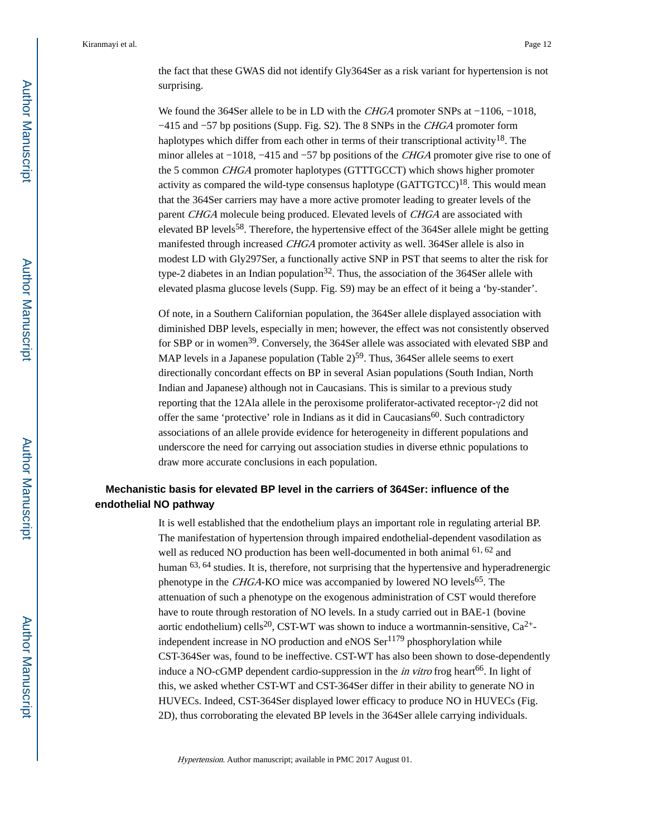the fact that these GWAS did not identify Gly364Ser as a risk variant for hypertension is not surprising.

We found the 364Ser allele to be in LD with the *CHGA* promoter SNPs at −1106, −1018, −415 and −57 bp positions (Supp. Fig. S2). The 8 SNPs in the CHGA promoter form haplotypes which differ from each other in terms of their transcriptional activity<sup>18</sup>. The minor alleles at −1018, −415 and −57 bp positions of the CHGA promoter give rise to one of the 5 common CHGA promoter haplotypes (GTTTGCCT) which shows higher promoter activity as compared the wild-type consensus haplotype  $(GATTGTCC)^{18}$ . This would mean that the 364Ser carriers may have a more active promoter leading to greater levels of the parent CHGA molecule being produced. Elevated levels of CHGA are associated with elevated BP levels<sup>58</sup>. Therefore, the hypertensive effect of the 364Ser allele might be getting manifested through increased CHGA promoter activity as well. 364Ser allele is also in modest LD with Gly297Ser, a functionally active SNP in PST that seems to alter the risk for type-2 diabetes in an Indian population<sup>32</sup>. Thus, the association of the 364Ser allele with elevated plasma glucose levels (Supp. Fig. S9) may be an effect of it being a 'by-stander'.

Of note, in a Southern Californian population, the 364Ser allele displayed association with diminished DBP levels, especially in men; however, the effect was not consistently observed for SBP or in women<sup>39</sup>. Conversely, the 364Ser allele was associated with elevated SBP and MAP levels in a Japanese population (Table  $2<sup>59</sup>$ . Thus, 364Ser allele seems to exert directionally concordant effects on BP in several Asian populations (South Indian, North Indian and Japanese) although not in Caucasians. This is similar to a previous study reporting that the 12Ala allele in the peroxisome proliferator-activated receptor-γ2 did not offer the same 'protective' role in Indians as it did in Caucasians<sup>60</sup>. Such contradictory associations of an allele provide evidence for heterogeneity in different populations and underscore the need for carrying out association studies in diverse ethnic populations to draw more accurate conclusions in each population.

## **Mechanistic basis for elevated BP level in the carriers of 364Ser: influence of the endothelial NO pathway**

It is well established that the endothelium plays an important role in regulating arterial BP. The manifestation of hypertension through impaired endothelial-dependent vasodilation as well as reduced NO production has been well-documented in both animal <sup>61, 62</sup> and human <sup>63, 64</sup> studies. It is, therefore, not surprising that the hypertensive and hyperadrenergic phenotype in the *CHGA*-KO mice was accompanied by lowered NO levels<sup>65</sup>. The attenuation of such a phenotype on the exogenous administration of CST would therefore have to route through restoration of NO levels. In a study carried out in BAE-1 (bovine aortic endothelium) cells<sup>20</sup>, CST-WT was shown to induce a wortmannin-sensitive,  $Ca^{2+}$ independent increase in NO production and  $eNOS$   $Ser<sup>1179</sup>$  phosphorylation while CST-364Ser was, found to be ineffective. CST-WT has also been shown to dose-dependently induce a NO-cGMP dependent cardio-suppression in the *in vitro* frog heart<sup>66</sup>. In light of this, we asked whether CST-WT and CST-364Ser differ in their ability to generate NO in HUVECs. Indeed, CST-364Ser displayed lower efficacy to produce NO in HUVECs (Fig. 2D), thus corroborating the elevated BP levels in the 364Ser allele carrying individuals.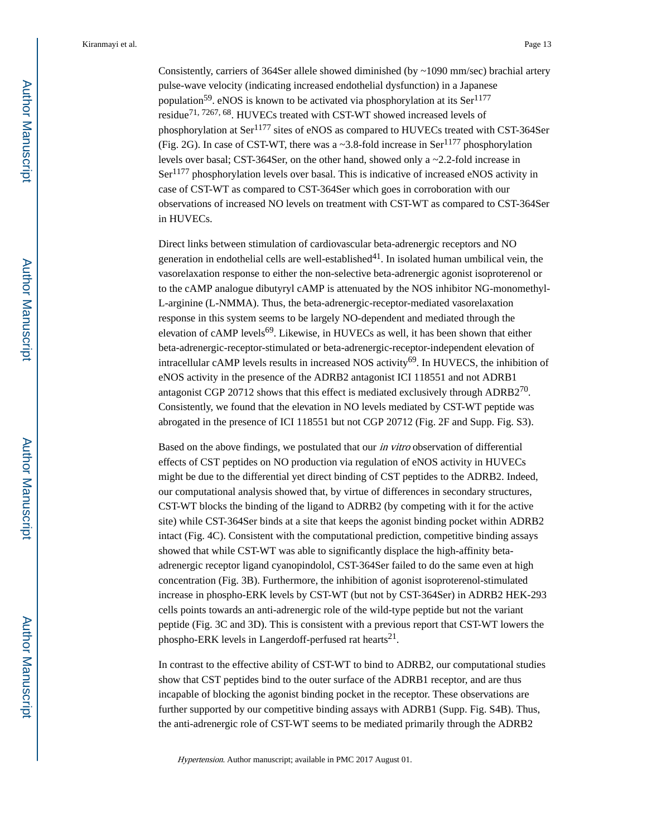Consistently, carriers of 364Ser allele showed diminished (by ~1090 mm/sec) brachial artery pulse-wave velocity (indicating increased endothelial dysfunction) in a Japanese population<sup>59</sup>. eNOS is known to be activated via phosphorylation at its Ser<sup>1177</sup> residue<sup>71, 7267, 68</sup>. HUVECs treated with CST-WT showed increased levels of phosphorylation at Ser<sup>1177</sup> sites of eNOS as compared to HUVECs treated with CST-364Ser (Fig. 2G). In case of CST-WT, there was a  $\sim$ 3.8-fold increase in Ser<sup>1177</sup> phosphorylation levels over basal; CST-364Ser, on the other hand, showed only a ~2.2-fold increase in Ser1177 phosphorylation levels over basal. This is indicative of increased eNOS activity in case of CST-WT as compared to CST-364Ser which goes in corroboration with our observations of increased NO levels on treatment with CST-WT as compared to CST-364Ser in HUVECs.

Direct links between stimulation of cardiovascular beta-adrenergic receptors and NO generation in endothelial cells are well-established $4<sup>1</sup>$ . In isolated human umbilical vein, the vasorelaxation response to either the non-selective beta-adrenergic agonist isoproterenol or to the cAMP analogue dibutyryl cAMP is attenuated by the NOS inhibitor NG-monomethyl-L-arginine (L-NMMA). Thus, the beta-adrenergic-receptor-mediated vasorelaxation response in this system seems to be largely NO-dependent and mediated through the elevation of cAMP levels<sup>69</sup>. Likewise, in HUVECs as well, it has been shown that either beta-adrenergic-receptor-stimulated or beta-adrenergic-receptor-independent elevation of intracellular cAMP levels results in increased NOS activity<sup>69</sup>. In HUVECS, the inhibition of eNOS activity in the presence of the ADRB2 antagonist ICI 118551 and not ADRB1 antagonist CGP 20712 shows that this effect is mediated exclusively through ADRB2<sup>70</sup>. Consistently, we found that the elevation in NO levels mediated by CST-WT peptide was abrogated in the presence of ICI 118551 but not CGP 20712 (Fig. 2F and Supp. Fig. S3).

Based on the above findings, we postulated that our in vitro observation of differential effects of CST peptides on NO production via regulation of eNOS activity in HUVECs might be due to the differential yet direct binding of CST peptides to the ADRB2. Indeed, our computational analysis showed that, by virtue of differences in secondary structures, CST-WT blocks the binding of the ligand to ADRB2 (by competing with it for the active site) while CST-364Ser binds at a site that keeps the agonist binding pocket within ADRB2 intact (Fig. 4C). Consistent with the computational prediction, competitive binding assays showed that while CST-WT was able to significantly displace the high-affinity betaadrenergic receptor ligand cyanopindolol, CST-364Ser failed to do the same even at high concentration (Fig. 3B). Furthermore, the inhibition of agonist isoproterenol-stimulated increase in phospho-ERK levels by CST-WT (but not by CST-364Ser) in ADRB2 HEK-293 cells points towards an anti-adrenergic role of the wild-type peptide but not the variant peptide (Fig. 3C and 3D). This is consistent with a previous report that CST-WT lowers the phospho-ERK levels in Langerdoff-perfused rat hearts<sup>21</sup>.

In contrast to the effective ability of CST-WT to bind to ADRB2, our computational studies show that CST peptides bind to the outer surface of the ADRB1 receptor, and are thus incapable of blocking the agonist binding pocket in the receptor. These observations are further supported by our competitive binding assays with ADRB1 (Supp. Fig. S4B). Thus, the anti-adrenergic role of CST-WT seems to be mediated primarily through the ADRB2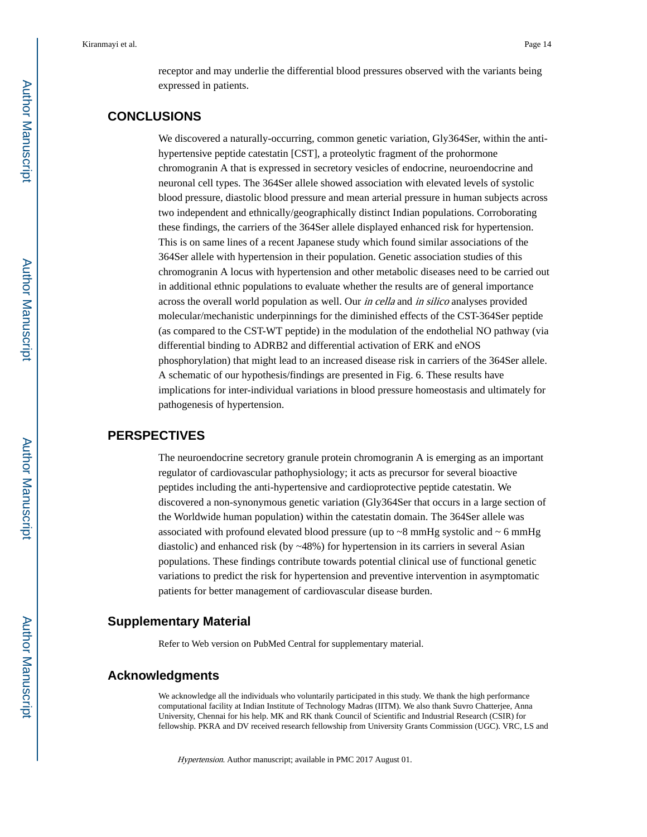receptor and may underlie the differential blood pressures observed with the variants being expressed in patients.

## **CONCLUSIONS**

We discovered a naturally-occurring, common genetic variation, Gly364Ser, within the antihypertensive peptide catestatin [CST], a proteolytic fragment of the prohormone chromogranin A that is expressed in secretory vesicles of endocrine, neuroendocrine and neuronal cell types. The 364Ser allele showed association with elevated levels of systolic blood pressure, diastolic blood pressure and mean arterial pressure in human subjects across two independent and ethnically/geographically distinct Indian populations. Corroborating these findings, the carriers of the 364Ser allele displayed enhanced risk for hypertension. This is on same lines of a recent Japanese study which found similar associations of the 364Ser allele with hypertension in their population. Genetic association studies of this chromogranin A locus with hypertension and other metabolic diseases need to be carried out in additional ethnic populations to evaluate whether the results are of general importance across the overall world population as well. Our in cella and in silico analyses provided molecular/mechanistic underpinnings for the diminished effects of the CST-364Ser peptide (as compared to the CST-WT peptide) in the modulation of the endothelial NO pathway (via differential binding to ADRB2 and differential activation of ERK and eNOS phosphorylation) that might lead to an increased disease risk in carriers of the 364Ser allele. A schematic of our hypothesis/findings are presented in Fig. 6. These results have implications for inter-individual variations in blood pressure homeostasis and ultimately for pathogenesis of hypertension.

## **PERSPECTIVES**

The neuroendocrine secretory granule protein chromogranin A is emerging as an important regulator of cardiovascular pathophysiology; it acts as precursor for several bioactive peptides including the anti-hypertensive and cardioprotective peptide catestatin. We discovered a non-synonymous genetic variation (Gly364Ser that occurs in a large section of the Worldwide human population) within the catestatin domain. The 364Ser allele was associated with profound elevated blood pressure (up to  $\sim$ 8 mmHg systolic and  $\sim$  6 mmHg diastolic) and enhanced risk (by ~48%) for hypertension in its carriers in several Asian populations. These findings contribute towards potential clinical use of functional genetic variations to predict the risk for hypertension and preventive intervention in asymptomatic patients for better management of cardiovascular disease burden.

## **Supplementary Material**

Refer to Web version on PubMed Central for supplementary material.

## **Acknowledgments**

We acknowledge all the individuals who voluntarily participated in this study. We thank the high performance computational facility at Indian Institute of Technology Madras (IITM). We also thank Suvro Chatterjee, Anna University, Chennai for his help. MK and RK thank Council of Scientific and Industrial Research (CSIR) for fellowship. PKRA and DV received research fellowship from University Grants Commission (UGC). VRC, LS and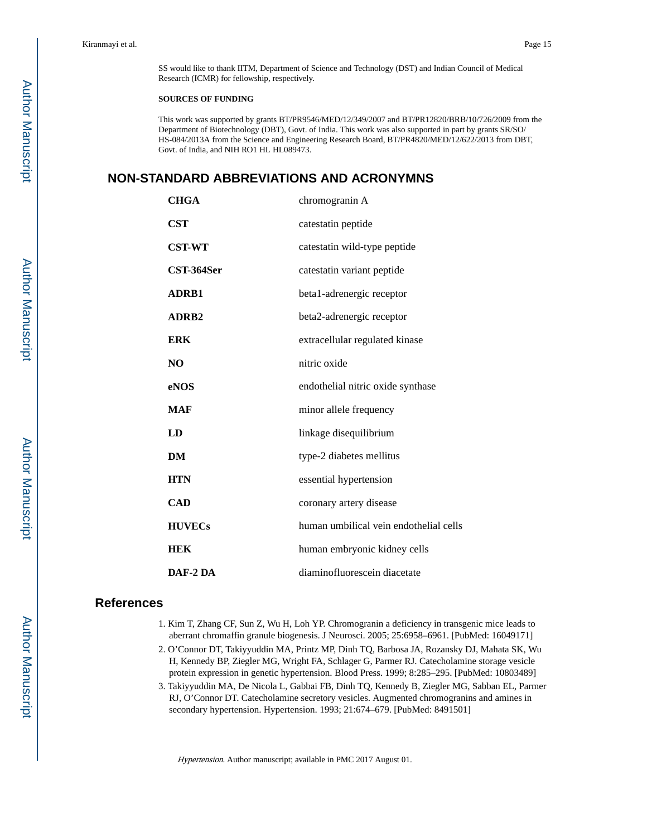SS would like to thank IITM, Department of Science and Technology (DST) and Indian Council of Medical Research (ICMR) for fellowship, respectively.

#### **SOURCES OF FUNDING**

This work was supported by grants BT/PR9546/MED/12/349/2007 and BT/PR12820/BRB/10/726/2009 from the Department of Biotechnology (DBT), Govt. of India. This work was also supported in part by grants SR/SO/ HS-084/2013A from the Science and Engineering Research Board, BT/PR4820/MED/12/622/2013 from DBT, Govt. of India, and NIH RO1 HL HL089473.

## **NON-STANDARD ABBREVIATIONS AND ACRONYMNS**

| <b>CHGA</b>   | chromogranin A                         |
|---------------|----------------------------------------|
| <b>CST</b>    | catestatin peptide                     |
| <b>CST-WT</b> | catestatin wild-type peptide           |
| CST-364Ser    | catestatin variant peptide             |
| <b>ADRB1</b>  | beta1-adrenergic receptor              |
| <b>ADRB2</b>  | beta2-adrenergic receptor              |
| <b>ERK</b>    | extracellular regulated kinase         |
| NO            | nitric oxide                           |
| eNOS          | endothelial nitric oxide synthase      |
| <b>MAF</b>    | minor allele frequency                 |
| LD            | linkage disequilibrium                 |
| DM            | type-2 diabetes mellitus               |
| <b>HTN</b>    | essential hypertension                 |
| <b>CAD</b>    | coronary artery disease                |
| <b>HUVECs</b> | human umbilical vein endothelial cells |
| <b>HEK</b>    | human embryonic kidney cells           |
| DAF-2 DA      | diaminofluorescein diacetate           |

#### **References**

- 1. Kim T, Zhang CF, Sun Z, Wu H, Loh YP. Chromogranin a deficiency in transgenic mice leads to aberrant chromaffin granule biogenesis. J Neurosci. 2005; 25:6958–6961. [PubMed: 16049171]
- 2. O'Connor DT, Takiyyuddin MA, Printz MP, Dinh TQ, Barbosa JA, Rozansky DJ, Mahata SK, Wu H, Kennedy BP, Ziegler MG, Wright FA, Schlager G, Parmer RJ. Catecholamine storage vesicle protein expression in genetic hypertension. Blood Press. 1999; 8:285–295. [PubMed: 10803489]
- 3. Takiyyuddin MA, De Nicola L, Gabbai FB, Dinh TQ, Kennedy B, Ziegler MG, Sabban EL, Parmer RJ, O'Connor DT. Catecholamine secretory vesicles. Augmented chromogranins and amines in secondary hypertension. Hypertension. 1993; 21:674–679. [PubMed: 8491501]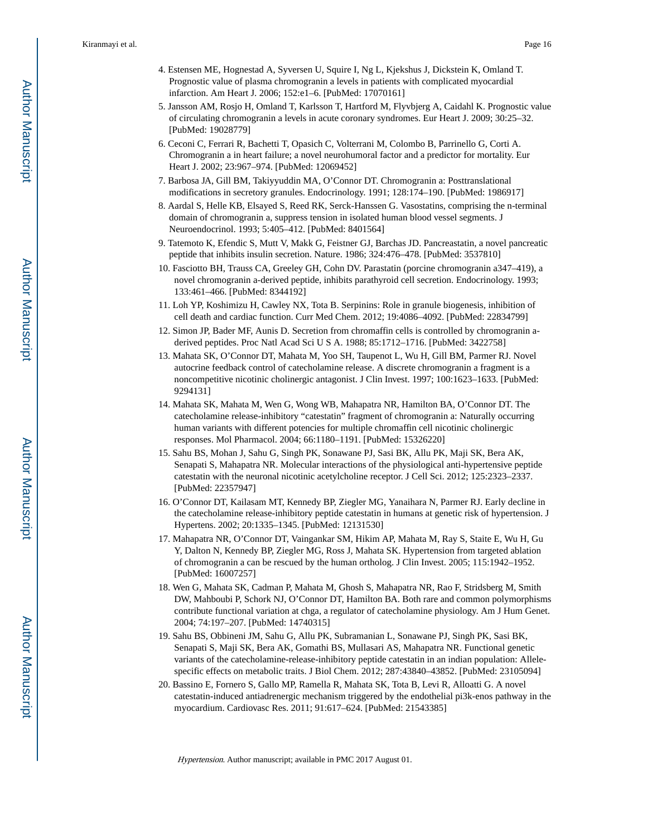- 4. Estensen ME, Hognestad A, Syversen U, Squire I, Ng L, Kjekshus J, Dickstein K, Omland T. Prognostic value of plasma chromogranin a levels in patients with complicated myocardial infarction. Am Heart J. 2006; 152:e1–6. [PubMed: 17070161]
- 5. Jansson AM, Rosjo H, Omland T, Karlsson T, Hartford M, Flyvbjerg A, Caidahl K. Prognostic value of circulating chromogranin a levels in acute coronary syndromes. Eur Heart J. 2009; 30:25–32. [PubMed: 19028779]
- 6. Ceconi C, Ferrari R, Bachetti T, Opasich C, Volterrani M, Colombo B, Parrinello G, Corti A. Chromogranin a in heart failure; a novel neurohumoral factor and a predictor for mortality. Eur Heart J. 2002; 23:967–974. [PubMed: 12069452]
- 7. Barbosa JA, Gill BM, Takiyyuddin MA, O'Connor DT. Chromogranin a: Posttranslational modifications in secretory granules. Endocrinology. 1991; 128:174–190. [PubMed: 1986917]
- 8. Aardal S, Helle KB, Elsayed S, Reed RK, Serck-Hanssen G. Vasostatins, comprising the n-terminal domain of chromogranin a, suppress tension in isolated human blood vessel segments. J Neuroendocrinol. 1993; 5:405–412. [PubMed: 8401564]
- 9. Tatemoto K, Efendic S, Mutt V, Makk G, Feistner GJ, Barchas JD. Pancreastatin, a novel pancreatic peptide that inhibits insulin secretion. Nature. 1986; 324:476–478. [PubMed: 3537810]
- 10. Fasciotto BH, Trauss CA, Greeley GH, Cohn DV. Parastatin (porcine chromogranin a347–419), a novel chromogranin a-derived peptide, inhibits parathyroid cell secretion. Endocrinology. 1993; 133:461–466. [PubMed: 8344192]
- 11. Loh YP, Koshimizu H, Cawley NX, Tota B. Serpinins: Role in granule biogenesis, inhibition of cell death and cardiac function. Curr Med Chem. 2012; 19:4086–4092. [PubMed: 22834799]
- 12. Simon JP, Bader MF, Aunis D. Secretion from chromaffin cells is controlled by chromogranin aderived peptides. Proc Natl Acad Sci U S A. 1988; 85:1712–1716. [PubMed: 3422758]
- 13. Mahata SK, O'Connor DT, Mahata M, Yoo SH, Taupenot L, Wu H, Gill BM, Parmer RJ. Novel autocrine feedback control of catecholamine release. A discrete chromogranin a fragment is a noncompetitive nicotinic cholinergic antagonist. J Clin Invest. 1997; 100:1623–1633. [PubMed: 9294131]
- 14. Mahata SK, Mahata M, Wen G, Wong WB, Mahapatra NR, Hamilton BA, O'Connor DT. The catecholamine release-inhibitory "catestatin" fragment of chromogranin a: Naturally occurring human variants with different potencies for multiple chromaffin cell nicotinic cholinergic responses. Mol Pharmacol. 2004; 66:1180–1191. [PubMed: 15326220]
- 15. Sahu BS, Mohan J, Sahu G, Singh PK, Sonawane PJ, Sasi BK, Allu PK, Maji SK, Bera AK, Senapati S, Mahapatra NR. Molecular interactions of the physiological anti-hypertensive peptide catestatin with the neuronal nicotinic acetylcholine receptor. J Cell Sci. 2012; 125:2323–2337. [PubMed: 22357947]
- 16. O'Connor DT, Kailasam MT, Kennedy BP, Ziegler MG, Yanaihara N, Parmer RJ. Early decline in the catecholamine release-inhibitory peptide catestatin in humans at genetic risk of hypertension. J Hypertens. 2002; 20:1335–1345. [PubMed: 12131530]
- 17. Mahapatra NR, O'Connor DT, Vaingankar SM, Hikim AP, Mahata M, Ray S, Staite E, Wu H, Gu Y, Dalton N, Kennedy BP, Ziegler MG, Ross J, Mahata SK. Hypertension from targeted ablation of chromogranin a can be rescued by the human ortholog. J Clin Invest. 2005; 115:1942–1952. [PubMed: 16007257]
- 18. Wen G, Mahata SK, Cadman P, Mahata M, Ghosh S, Mahapatra NR, Rao F, Stridsberg M, Smith DW, Mahboubi P, Schork NJ, O'Connor DT, Hamilton BA. Both rare and common polymorphisms contribute functional variation at chga, a regulator of catecholamine physiology. Am J Hum Genet. 2004; 74:197–207. [PubMed: 14740315]
- 19. Sahu BS, Obbineni JM, Sahu G, Allu PK, Subramanian L, Sonawane PJ, Singh PK, Sasi BK, Senapati S, Maji SK, Bera AK, Gomathi BS, Mullasari AS, Mahapatra NR. Functional genetic variants of the catecholamine-release-inhibitory peptide catestatin in an indian population: Allelespecific effects on metabolic traits. J Biol Chem. 2012; 287:43840–43852. [PubMed: 23105094]
- 20. Bassino E, Fornero S, Gallo MP, Ramella R, Mahata SK, Tota B, Levi R, Alloatti G. A novel catestatin-induced antiadrenergic mechanism triggered by the endothelial pi3k-enos pathway in the myocardium. Cardiovasc Res. 2011; 91:617–624. [PubMed: 21543385]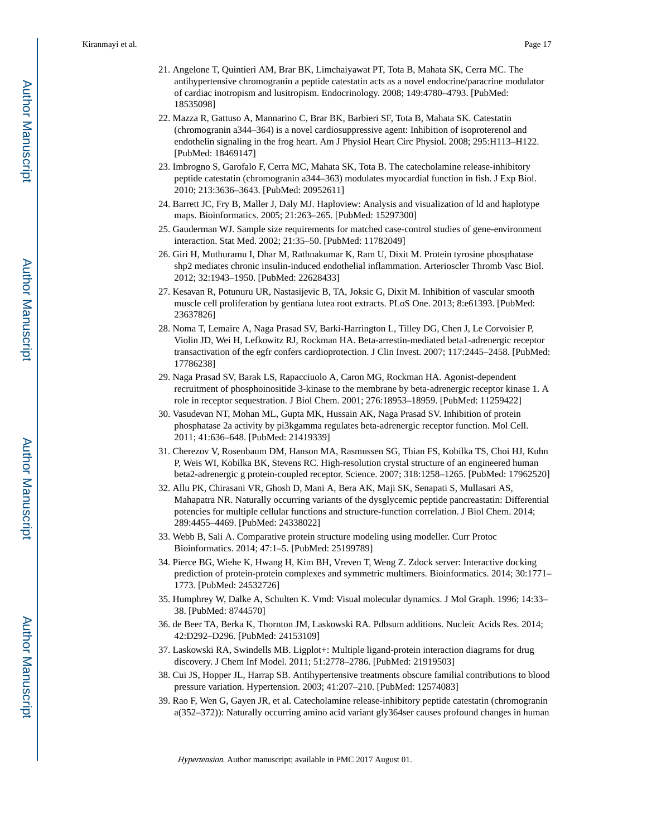- 21. Angelone T, Quintieri AM, Brar BK, Limchaiyawat PT, Tota B, Mahata SK, Cerra MC. The antihypertensive chromogranin a peptide catestatin acts as a novel endocrine/paracrine modulator of cardiac inotropism and lusitropism. Endocrinology. 2008; 149:4780–4793. [PubMed: 18535098]
- 22. Mazza R, Gattuso A, Mannarino C, Brar BK, Barbieri SF, Tota B, Mahata SK. Catestatin (chromogranin a344–364) is a novel cardiosuppressive agent: Inhibition of isoproterenol and endothelin signaling in the frog heart. Am J Physiol Heart Circ Physiol. 2008; 295:H113–H122. [PubMed: 18469147]
- 23. Imbrogno S, Garofalo F, Cerra MC, Mahata SK, Tota B. The catecholamine release-inhibitory peptide catestatin (chromogranin a344–363) modulates myocardial function in fish. J Exp Biol. 2010; 213:3636–3643. [PubMed: 20952611]
- 24. Barrett JC, Fry B, Maller J, Daly MJ. Haploview: Analysis and visualization of ld and haplotype maps. Bioinformatics. 2005; 21:263–265. [PubMed: 15297300]
- 25. Gauderman WJ. Sample size requirements for matched case-control studies of gene-environment interaction. Stat Med. 2002; 21:35–50. [PubMed: 11782049]
- 26. Giri H, Muthuramu I, Dhar M, Rathnakumar K, Ram U, Dixit M. Protein tyrosine phosphatase shp2 mediates chronic insulin-induced endothelial inflammation. Arterioscler Thromb Vasc Biol. 2012; 32:1943–1950. [PubMed: 22628433]
- 27. Kesavan R, Potunuru UR, Nastasijevic B, TA, Joksic G, Dixit M. Inhibition of vascular smooth muscle cell proliferation by gentiana lutea root extracts. PLoS One. 2013; 8:e61393. [PubMed: 23637826]
- 28. Noma T, Lemaire A, Naga Prasad SV, Barki-Harrington L, Tilley DG, Chen J, Le Corvoisier P, Violin JD, Wei H, Lefkowitz RJ, Rockman HA. Beta-arrestin-mediated beta1-adrenergic receptor transactivation of the egfr confers cardioprotection. J Clin Invest. 2007; 117:2445–2458. [PubMed: 17786238]
- 29. Naga Prasad SV, Barak LS, Rapacciuolo A, Caron MG, Rockman HA. Agonist-dependent recruitment of phosphoinositide 3-kinase to the membrane by beta-adrenergic receptor kinase 1. A role in receptor sequestration. J Biol Chem. 2001; 276:18953–18959. [PubMed: 11259422]
- 30. Vasudevan NT, Mohan ML, Gupta MK, Hussain AK, Naga Prasad SV. Inhibition of protein phosphatase 2a activity by pi3kgamma regulates beta-adrenergic receptor function. Mol Cell. 2011; 41:636–648. [PubMed: 21419339]
- 31. Cherezov V, Rosenbaum DM, Hanson MA, Rasmussen SG, Thian FS, Kobilka TS, Choi HJ, Kuhn P, Weis WI, Kobilka BK, Stevens RC. High-resolution crystal structure of an engineered human beta2-adrenergic g protein-coupled receptor. Science. 2007; 318:1258–1265. [PubMed: 17962520]
- 32. Allu PK, Chirasani VR, Ghosh D, Mani A, Bera AK, Maji SK, Senapati S, Mullasari AS, Mahapatra NR. Naturally occurring variants of the dysglycemic peptide pancreastatin: Differential potencies for multiple cellular functions and structure-function correlation. J Biol Chem. 2014; 289:4455–4469. [PubMed: 24338022]
- 33. Webb B, Sali A. Comparative protein structure modeling using modeller. Curr Protoc Bioinformatics. 2014; 47:1–5. [PubMed: 25199789]
- 34. Pierce BG, Wiehe K, Hwang H, Kim BH, Vreven T, Weng Z. Zdock server: Interactive docking prediction of protein-protein complexes and symmetric multimers. Bioinformatics. 2014; 30:1771– 1773. [PubMed: 24532726]
- 35. Humphrey W, Dalke A, Schulten K. Vmd: Visual molecular dynamics. J Mol Graph. 1996; 14:33– 38. [PubMed: 8744570]
- 36. de Beer TA, Berka K, Thornton JM, Laskowski RA. Pdbsum additions. Nucleic Acids Res. 2014; 42:D292–D296. [PubMed: 24153109]
- 37. Laskowski RA, Swindells MB. Ligplot+: Multiple ligand-protein interaction diagrams for drug discovery. J Chem Inf Model. 2011; 51:2778–2786. [PubMed: 21919503]
- 38. Cui JS, Hopper JL, Harrap SB. Antihypertensive treatments obscure familial contributions to blood pressure variation. Hypertension. 2003; 41:207–210. [PubMed: 12574083]
- 39. Rao F, Wen G, Gayen JR, et al. Catecholamine release-inhibitory peptide catestatin (chromogranin a(352–372)): Naturally occurring amino acid variant gly364ser causes profound changes in human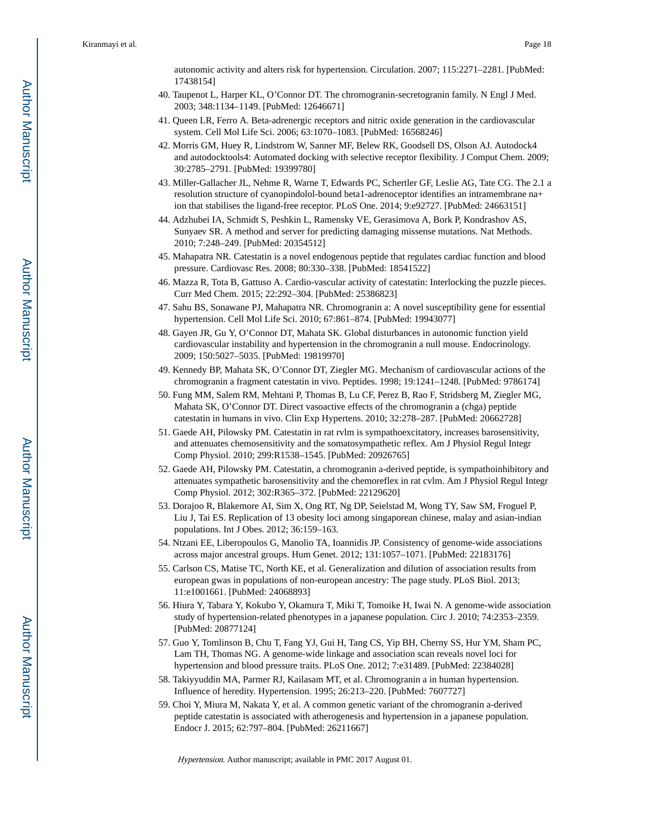autonomic activity and alters risk for hypertension. Circulation. 2007; 115:2271–2281. [PubMed: 17438154]

- 40. Taupenot L, Harper KL, O'Connor DT. The chromogranin-secretogranin family. N Engl J Med. 2003; 348:1134–1149. [PubMed: 12646671]
- 41. Queen LR, Ferro A. Beta-adrenergic receptors and nitric oxide generation in the cardiovascular system. Cell Mol Life Sci. 2006; 63:1070–1083. [PubMed: 16568246]
- 42. Morris GM, Huey R, Lindstrom W, Sanner MF, Belew RK, Goodsell DS, Olson AJ. Autodock4 and autodocktools4: Automated docking with selective receptor flexibility. J Comput Chem. 2009; 30:2785–2791. [PubMed: 19399780]
- 43. Miller-Gallacher JL, Nehme R, Warne T, Edwards PC, Schertler GF, Leslie AG, Tate CG. The 2.1 a resolution structure of cyanopindolol-bound beta1-adrenoceptor identifies an intramembrane na+ ion that stabilises the ligand-free receptor. PLoS One. 2014; 9:e92727. [PubMed: 24663151]
- 44. Adzhubei IA, Schmidt S, Peshkin L, Ramensky VE, Gerasimova A, Bork P, Kondrashov AS, Sunyaev SR. A method and server for predicting damaging missense mutations. Nat Methods. 2010; 7:248–249. [PubMed: 20354512]
- 45. Mahapatra NR. Catestatin is a novel endogenous peptide that regulates cardiac function and blood pressure. Cardiovasc Res. 2008; 80:330–338. [PubMed: 18541522]
- 46. Mazza R, Tota B, Gattuso A. Cardio-vascular activity of catestatin: Interlocking the puzzle pieces. Curr Med Chem. 2015; 22:292–304. [PubMed: 25386823]
- 47. Sahu BS, Sonawane PJ, Mahapatra NR. Chromogranin a: A novel susceptibility gene for essential hypertension. Cell Mol Life Sci. 2010; 67:861–874. [PubMed: 19943077]
- 48. Gayen JR, Gu Y, O'Connor DT, Mahata SK. Global disturbances in autonomic function yield cardiovascular instability and hypertension in the chromogranin a null mouse. Endocrinology. 2009; 150:5027–5035. [PubMed: 19819970]
- 49. Kennedy BP, Mahata SK, O'Connor DT, Ziegler MG. Mechanism of cardiovascular actions of the chromogranin a fragment catestatin in vivo. Peptides. 1998; 19:1241–1248. [PubMed: 9786174]
- 50. Fung MM, Salem RM, Mehtani P, Thomas B, Lu CF, Perez B, Rao F, Stridsberg M, Ziegler MG, Mahata SK, O'Connor DT. Direct vasoactive effects of the chromogranin a (chga) peptide catestatin in humans in vivo. Clin Exp Hypertens. 2010; 32:278–287. [PubMed: 20662728]
- 51. Gaede AH, Pilowsky PM. Catestatin in rat rvlm is sympathoexcitatory, increases barosensitivity, and attenuates chemosensitivity and the somatosympathetic reflex. Am J Physiol Regul Integr Comp Physiol. 2010; 299:R1538–1545. [PubMed: 20926765]
- 52. Gaede AH, Pilowsky PM. Catestatin, a chromogranin a-derived peptide, is sympathoinhibitory and attenuates sympathetic barosensitivity and the chemoreflex in rat cvlm. Am J Physiol Regul Integr Comp Physiol. 2012; 302:R365–372. [PubMed: 22129620]
- 53. Dorajoo R, Blakemore AI, Sim X, Ong RT, Ng DP, Seielstad M, Wong TY, Saw SM, Froguel P, Liu J, Tai ES. Replication of 13 obesity loci among singaporean chinese, malay and asian-indian populations. Int J Obes. 2012; 36:159–163.
- 54. Ntzani EE, Liberopoulos G, Manolio TA, Ioannidis JP. Consistency of genome-wide associations across major ancestral groups. Hum Genet. 2012; 131:1057–1071. [PubMed: 22183176]
- 55. Carlson CS, Matise TC, North KE, et al. Generalization and dilution of association results from european gwas in populations of non-european ancestry: The page study. PLoS Biol. 2013; 11:e1001661. [PubMed: 24068893]
- 56. Hiura Y, Tabara Y, Kokubo Y, Okamura T, Miki T, Tomoike H, Iwai N. A genome-wide association study of hypertension-related phenotypes in a japanese population. Circ J. 2010; 74:2353–2359. [PubMed: 20877124]
- 57. Guo Y, Tomlinson B, Chu T, Fang YJ, Gui H, Tang CS, Yip BH, Cherny SS, Hur YM, Sham PC, Lam TH, Thomas NG. A genome-wide linkage and association scan reveals novel loci for hypertension and blood pressure traits. PLoS One. 2012; 7:e31489. [PubMed: 22384028]
- 58. Takiyyuddin MA, Parmer RJ, Kailasam MT, et al. Chromogranin a in human hypertension. Influence of heredity. Hypertension. 1995; 26:213–220. [PubMed: 7607727]
- 59. Choi Y, Miura M, Nakata Y, et al. A common genetic variant of the chromogranin a-derived peptide catestatin is associated with atherogenesis and hypertension in a japanese population. Endocr J. 2015; 62:797–804. [PubMed: 26211667]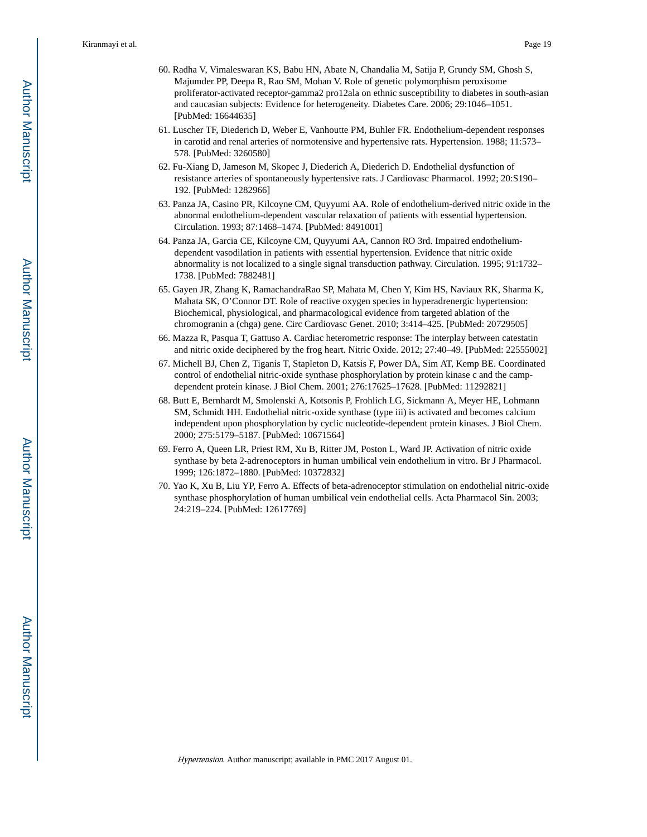- 60. Radha V, Vimaleswaran KS, Babu HN, Abate N, Chandalia M, Satija P, Grundy SM, Ghosh S, Majumder PP, Deepa R, Rao SM, Mohan V. Role of genetic polymorphism peroxisome proliferator-activated receptor-gamma2 pro12ala on ethnic susceptibility to diabetes in south-asian and caucasian subjects: Evidence for heterogeneity. Diabetes Care. 2006; 29:1046–1051. [PubMed: 16644635]
- 61. Luscher TF, Diederich D, Weber E, Vanhoutte PM, Buhler FR. Endothelium-dependent responses in carotid and renal arteries of normotensive and hypertensive rats. Hypertension. 1988; 11:573– 578. [PubMed: 3260580]
- 62. Fu-Xiang D, Jameson M, Skopec J, Diederich A, Diederich D. Endothelial dysfunction of resistance arteries of spontaneously hypertensive rats. J Cardiovasc Pharmacol. 1992; 20:S190– 192. [PubMed: 1282966]
- 63. Panza JA, Casino PR, Kilcoyne CM, Quyyumi AA. Role of endothelium-derived nitric oxide in the abnormal endothelium-dependent vascular relaxation of patients with essential hypertension. Circulation. 1993; 87:1468–1474. [PubMed: 8491001]
- 64. Panza JA, Garcia CE, Kilcoyne CM, Quyyumi AA, Cannon RO 3rd. Impaired endotheliumdependent vasodilation in patients with essential hypertension. Evidence that nitric oxide abnormality is not localized to a single signal transduction pathway. Circulation. 1995; 91:1732– 1738. [PubMed: 7882481]
- 65. Gayen JR, Zhang K, RamachandraRao SP, Mahata M, Chen Y, Kim HS, Naviaux RK, Sharma K, Mahata SK, O'Connor DT. Role of reactive oxygen species in hyperadrenergic hypertension: Biochemical, physiological, and pharmacological evidence from targeted ablation of the chromogranin a (chga) gene. Circ Cardiovasc Genet. 2010; 3:414–425. [PubMed: 20729505]
- 66. Mazza R, Pasqua T, Gattuso A. Cardiac heterometric response: The interplay between catestatin and nitric oxide deciphered by the frog heart. Nitric Oxide. 2012; 27:40–49. [PubMed: 22555002]
- 67. Michell BJ, Chen Z, Tiganis T, Stapleton D, Katsis F, Power DA, Sim AT, Kemp BE. Coordinated control of endothelial nitric-oxide synthase phosphorylation by protein kinase c and the campdependent protein kinase. J Biol Chem. 2001; 276:17625–17628. [PubMed: 11292821]
- 68. Butt E, Bernhardt M, Smolenski A, Kotsonis P, Frohlich LG, Sickmann A, Meyer HE, Lohmann SM, Schmidt HH. Endothelial nitric-oxide synthase (type iii) is activated and becomes calcium independent upon phosphorylation by cyclic nucleotide-dependent protein kinases. J Biol Chem. 2000; 275:5179–5187. [PubMed: 10671564]
- 69. Ferro A, Queen LR, Priest RM, Xu B, Ritter JM, Poston L, Ward JP. Activation of nitric oxide synthase by beta 2-adrenoceptors in human umbilical vein endothelium in vitro. Br J Pharmacol. 1999; 126:1872–1880. [PubMed: 10372832]
- 70. Yao K, Xu B, Liu YP, Ferro A. Effects of beta-adrenoceptor stimulation on endothelial nitric-oxide synthase phosphorylation of human umbilical vein endothelial cells. Acta Pharmacol Sin. 2003; 24:219–224. [PubMed: 12617769]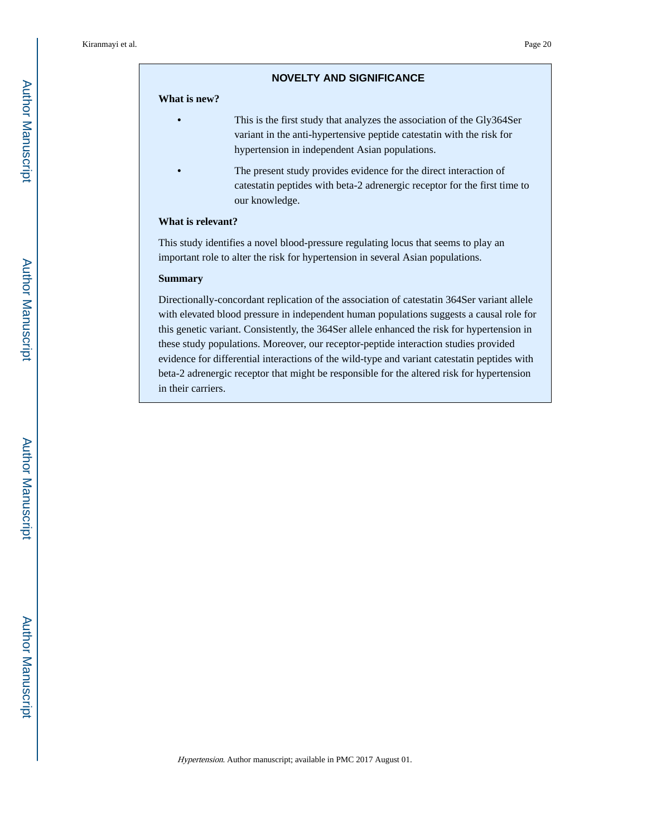#### **NOVELTY AND SIGNIFICANCE**

#### **What is new?**

- **•** This is the first study that analyzes the association of the Gly364Ser variant in the anti-hypertensive peptide catestatin with the risk for hypertension in independent Asian populations.
- **•** The present study provides evidence for the direct interaction of catestatin peptides with beta-2 adrenergic receptor for the first time to our knowledge.

#### **What is relevant?**

This study identifies a novel blood-pressure regulating locus that seems to play an important role to alter the risk for hypertension in several Asian populations.

#### **Summary**

Directionally-concordant replication of the association of catestatin 364Ser variant allele with elevated blood pressure in independent human populations suggests a causal role for this genetic variant. Consistently, the 364Ser allele enhanced the risk for hypertension in these study populations. Moreover, our receptor-peptide interaction studies provided evidence for differential interactions of the wild-type and variant catestatin peptides with beta-2 adrenergic receptor that might be responsible for the altered risk for hypertension in their carriers.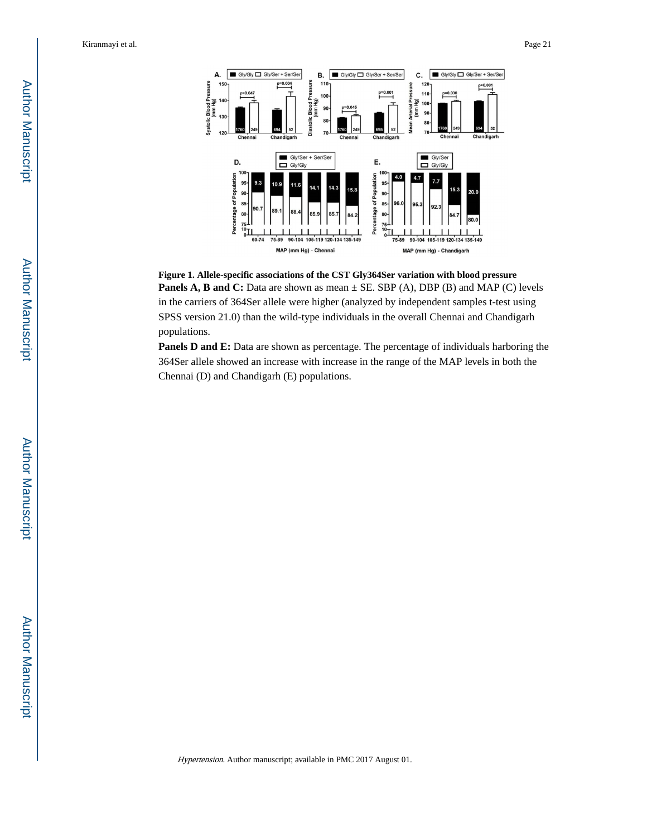

**Figure 1. Allele-specific associations of the CST Gly364Ser variation with blood pressure Panels A, B and C:** Data are shown as mean  $\pm$  SE. SBP (A), DBP (B) and MAP (C) levels in the carriers of 364Ser allele were higher (analyzed by independent samples t-test using SPSS version 21.0) than the wild-type individuals in the overall Chennai and Chandigarh populations.

**Panels D and E:** Data are shown as percentage. The percentage of individuals harboring the 364Ser allele showed an increase with increase in the range of the MAP levels in both the Chennai (D) and Chandigarh (E) populations.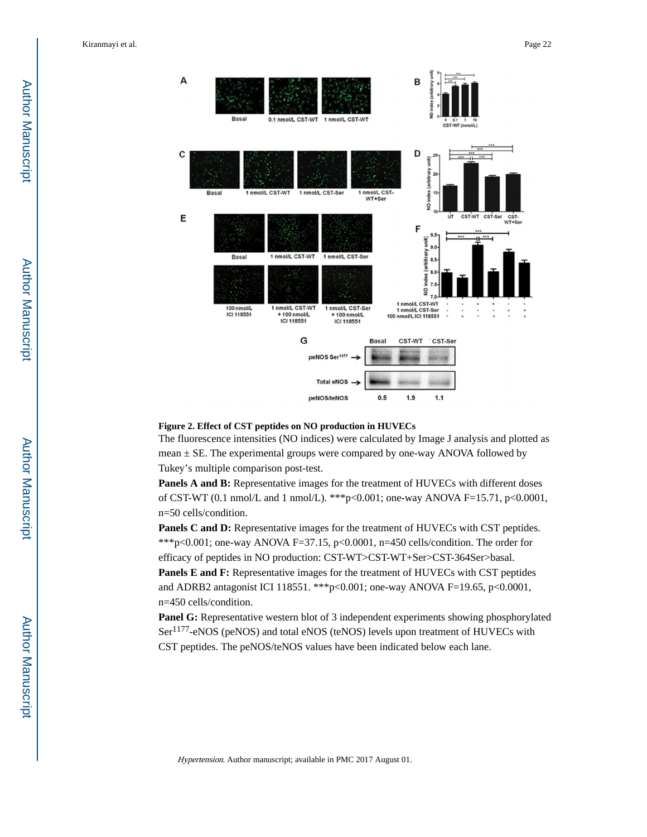

#### **Figure 2. Effect of CST peptides on NO production in HUVECs**

The fluorescence intensities (NO indices) were calculated by Image J analysis and plotted as mean  $\pm$  SE. The experimental groups were compared by one-way ANOVA followed by Tukey's multiple comparison post-test.

Panels A and B: Representative images for the treatment of HUVECs with different doses of CST-WT (0.1 nmol/L and 1 nmol/L). \*\*\*p<0.001; one-way ANOVA F=15.71, p<0.0001, n=50 cells/condition.

**Panels C and D:** Representative images for the treatment of HUVECs with CST peptides. \*\*\*p<0.001; one-way ANOVA F=37.15, p<0.0001, n=450 cells/condition. The order for efficacy of peptides in NO production: CST-WT>CST-WT+Ser>CST-364Ser>basal. **Panels E and F:** Representative images for the treatment of HUVECs with CST peptides and ADRB2 antagonist ICI 118551. \*\*\*p<0.001; one-way ANOVA F=19.65, p<0.0001, n=450 cells/condition.

**Panel G:** Representative western blot of 3 independent experiments showing phosphorylated Ser<sup>1177</sup>-eNOS (peNOS) and total eNOS (teNOS) levels upon treatment of HUVECs with CST peptides. The peNOS/teNOS values have been indicated below each lane.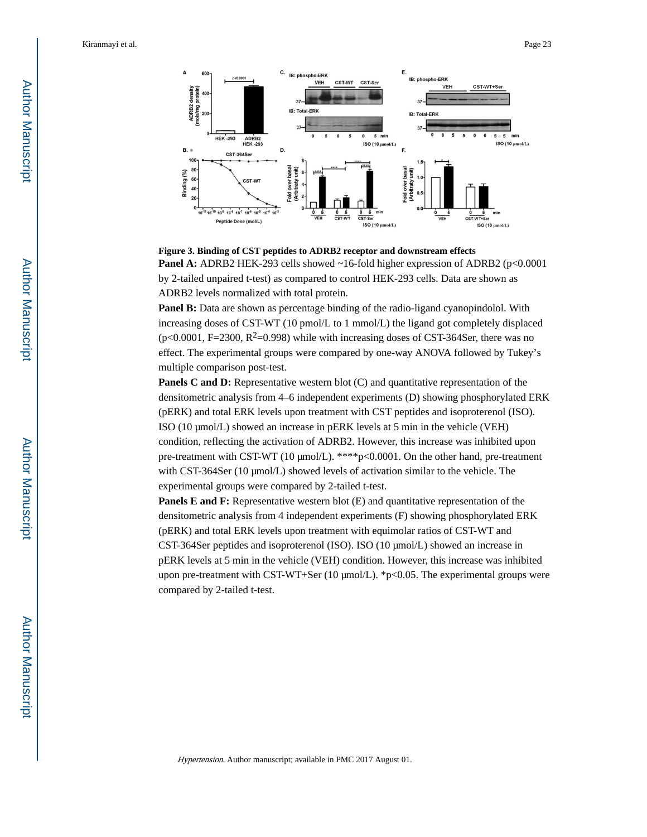

**Figure 3. Binding of CST peptides to ADRB2 receptor and downstream effects Panel A:** ADRB2 HEK-293 cells showed ~16-fold higher expression of ADRB2 (p<0.0001) by 2-tailed unpaired t-test) as compared to control HEK-293 cells. Data are shown as ADRB2 levels normalized with total protein.

**Panel B:** Data are shown as percentage binding of the radio-ligand cyanopindolol. With increasing doses of CST-WT (10 pmol/L to 1 mmol/L) the ligand got completely displaced  $(p<0.0001, F=2300, R<sup>2</sup>=0.998)$  while with increasing doses of CST-364Ser, there was no effect. The experimental groups were compared by one-way ANOVA followed by Tukey's multiple comparison post-test.

**Panels C and D:** Representative western blot (C) and quantitative representation of the densitometric analysis from 4–6 independent experiments (D) showing phosphorylated ERK (pERK) and total ERK levels upon treatment with CST peptides and isoproterenol (ISO). ISO (10 μmol/L) showed an increase in pERK levels at 5 min in the vehicle (VEH) condition, reflecting the activation of ADRB2. However, this increase was inhibited upon pre-treatment with CST-WT (10 μmol/L). \*\*\*\*p<0.0001. On the other hand, pre-treatment with CST-364Ser (10 μmol/L) showed levels of activation similar to the vehicle. The experimental groups were compared by 2-tailed t-test.

**Panels E and F:** Representative western blot (E) and quantitative representation of the densitometric analysis from 4 independent experiments (F) showing phosphorylated ERK (pERK) and total ERK levels upon treatment with equimolar ratios of CST-WT and CST-364Ser peptides and isoproterenol (ISO). ISO (10 μmol/L) showed an increase in pERK levels at 5 min in the vehicle (VEH) condition. However, this increase was inhibited upon pre-treatment with CST-WT+Ser (10 μmol/L). \*p<0.05. The experimental groups were compared by 2-tailed t-test.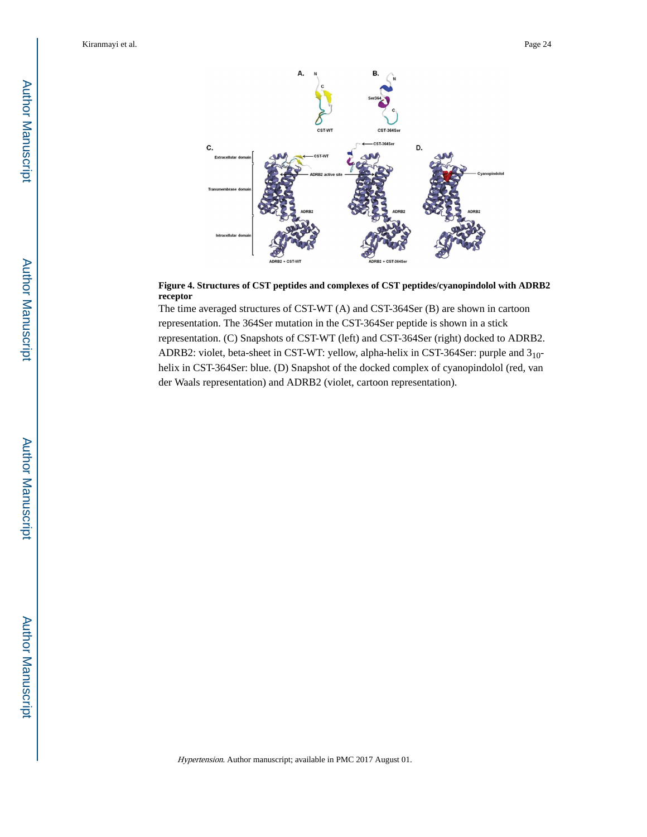

#### **Figure 4. Structures of CST peptides and complexes of CST peptides/cyanopindolol with ADRB2 receptor**

The time averaged structures of CST-WT (A) and CST-364Ser (B) are shown in cartoon representation. The 364Ser mutation in the CST-364Ser peptide is shown in a stick representation. (C) Snapshots of CST-WT (left) and CST-364Ser (right) docked to ADRB2. ADRB2: violet, beta-sheet in CST-WT: yellow, alpha-helix in CST-364Ser: purple and 310 helix in CST-364Ser: blue. (D) Snapshot of the docked complex of cyanopindolol (red, van der Waals representation) and ADRB2 (violet, cartoon representation).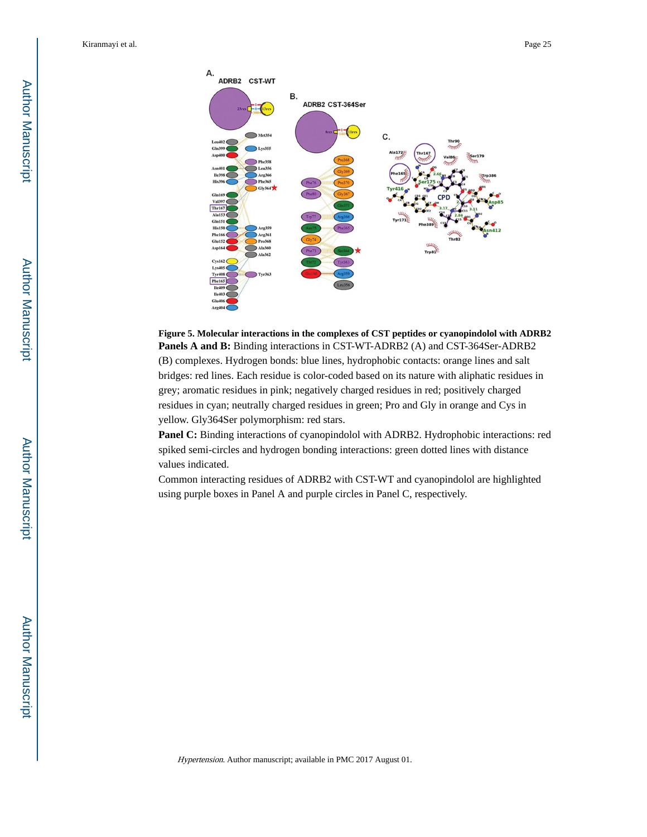

**Figure 5. Molecular interactions in the complexes of CST peptides or cyanopindolol with ADRB2 Panels A and B:** Binding interactions in CST-WT-ADRB2 (A) and CST-364Ser-ADRB2 (B) complexes. Hydrogen bonds: blue lines, hydrophobic contacts: orange lines and salt bridges: red lines. Each residue is color-coded based on its nature with aliphatic residues in grey; aromatic residues in pink; negatively charged residues in red; positively charged residues in cyan; neutrally charged residues in green; Pro and Gly in orange and Cys in yellow. Gly364Ser polymorphism: red stars.

**Panel C:** Binding interactions of cyanopindolol with ADRB2. Hydrophobic interactions: red spiked semi-circles and hydrogen bonding interactions: green dotted lines with distance values indicated.

Common interacting residues of ADRB2 with CST-WT and cyanopindolol are highlighted using purple boxes in Panel A and purple circles in Panel C, respectively.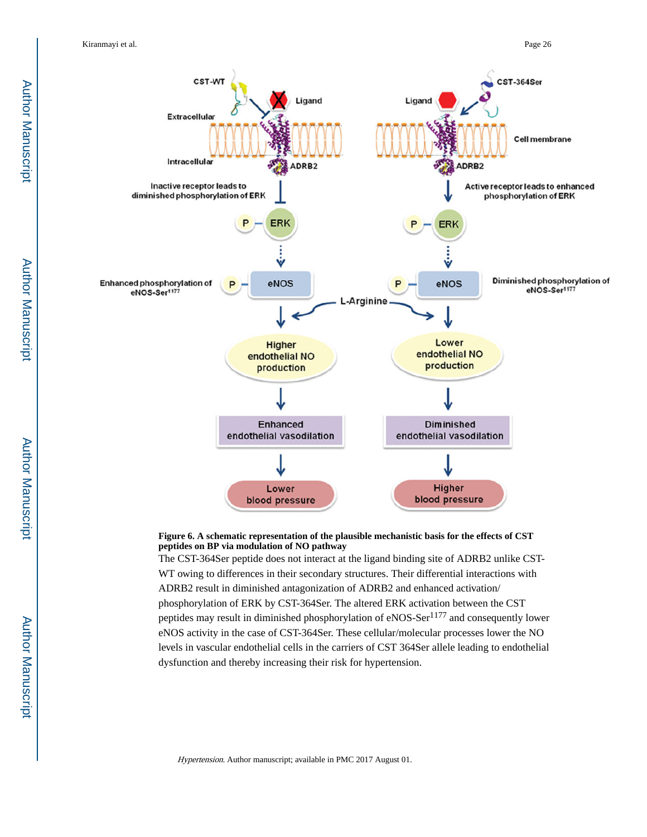

#### **Figure 6. A schematic representation of the plausible mechanistic basis for the effects of CST peptides on BP via modulation of NO pathway**

The CST-364Ser peptide does not interact at the ligand binding site of ADRB2 unlike CST-WT owing to differences in their secondary structures. Their differential interactions with ADRB2 result in diminished antagonization of ADRB2 and enhanced activation/ phosphorylation of ERK by CST-364Ser. The altered ERK activation between the CST peptides may result in diminished phosphorylation of eNOS-Ser<sup>1177</sup> and consequently lower eNOS activity in the case of CST-364Ser. These cellular/molecular processes lower the NO levels in vascular endothelial cells in the carriers of CST 364Ser allele leading to endothelial dysfunction and thereby increasing their risk for hypertension.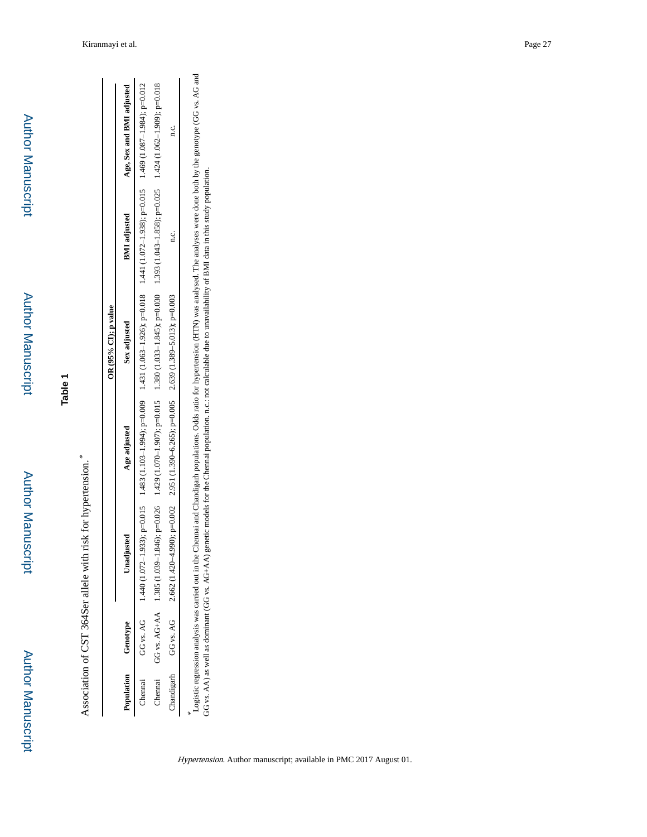Author Manuscript

**Author Manuscript** 

Association of CST 364Ser allele with risk for hypertension. \*

|         |                     |                                                                                                                 |              | OR $(95%$ CI); p value                                                                                                                                                                                                         |                     |                                                                                                                                                                                                    |
|---------|---------------------|-----------------------------------------------------------------------------------------------------------------|--------------|--------------------------------------------------------------------------------------------------------------------------------------------------------------------------------------------------------------------------------|---------------------|----------------------------------------------------------------------------------------------------------------------------------------------------------------------------------------------------|
|         | Population Genotype | Unadjusted                                                                                                      | Age adjusted | Sex adjusted                                                                                                                                                                                                                   | <b>BMI</b> adjusted | Age, Sex and BMI adjusted                                                                                                                                                                          |
| Chennai |                     |                                                                                                                 |              | ΝΟΘ-4.47861-28011 S9τ1 ,S100-4.18861-220121741 ,8100-4.0261-290171571 ,6000-4.4561-20111 S871 ,S100-4 16561-22011 0741 , ОЧ 36 У ОО                                                                                            |                     |                                                                                                                                                                                                    |
| Chennai |                     |                                                                                                                 |              | 810 (1480 T-280 T) 424 T1 × 11 × 404 S(320 T-290 T-2017 C6010 T-2010 T-2010 T-2010 T-2010 T-2010 T-2010 T-2010 T-2010 T-2010 T-3010 T-3010 T-3010 T-3010 T-3010 T-2010 T-2010 T-2010 T-2010 T-2010 T-2010 T-2010 T-2010 T-2010 |                     |                                                                                                                                                                                                    |
|         |                     | Chandigath Chandigath CG 2.662 (1.420-4.20-4.20002 2.662 ; p=0.005 2.635; p=0.005 2.636; p=0.005 2.637; p=0.003 |              |                                                                                                                                                                                                                                |                     |                                                                                                                                                                                                    |
|         |                     |                                                                                                                 |              | GG vs. AA) as well as dominant (GG vs. AG+AA) genetic models for the Chennai population. n.c.: not calculable due to unavailability of BMI data in this study population.                                                      |                     | Logistic regression analysis was carried out in the Chennai and Chandigarh populations. Odds ratio for hypertension (HTN) was analysed. The analyses were done both by the genotype (GG vs. AG and |